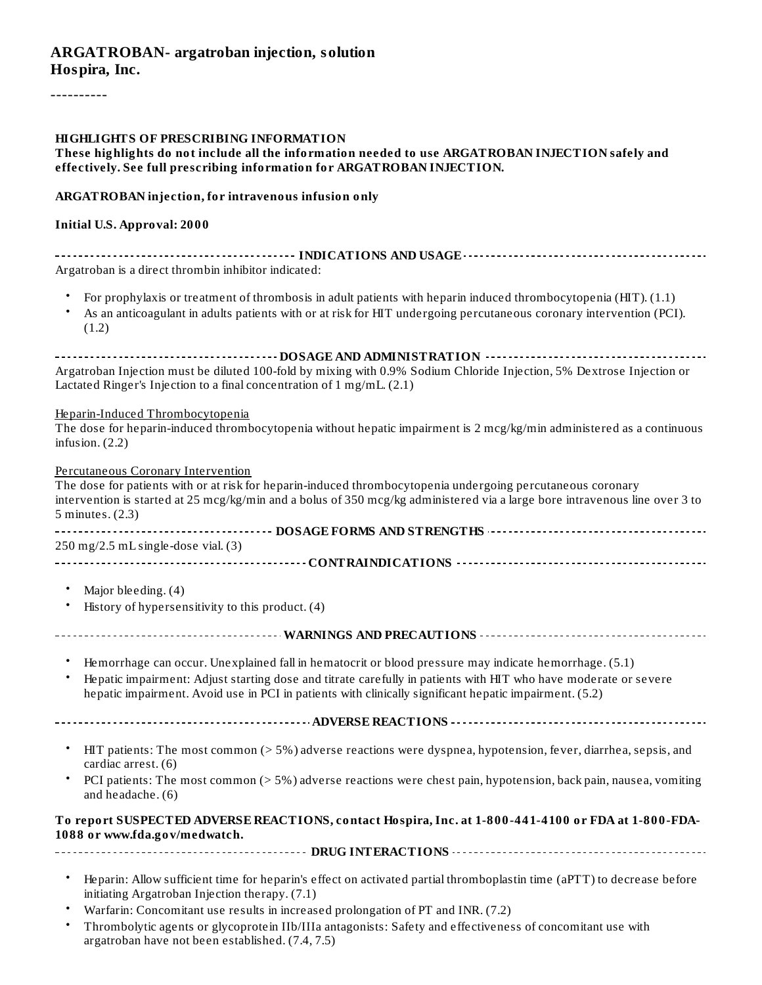#### **ARGATROBAN- argatroban injection, solution Hospira, Inc.**

----------

#### **HIGHLIGHTS OF PRESCRIBING INFORMATION**

#### **These highlights do not include all the information needed to use ARGATROBAN INJECTION safely and effectively. See full prescribing information for ARGATROBAN INJECTION.**

#### **ARGATROBAN injection, for intravenous infusion only**

#### **Initial U.S. Approval: 2000**

| Argatroban is a direct thrombin inhibitor indicated:                                                                                                                                                                                            |
|-------------------------------------------------------------------------------------------------------------------------------------------------------------------------------------------------------------------------------------------------|
| For prophylaxis or treatment of thrombosis in adult patients with heparin induced thrombocytopenia (HIT). (1.1)<br>As an anticoagulant in adults patients with or at risk for HIT undergoing percutaneous coronary intervention (PCI).<br>(1.2) |
|                                                                                                                                                                                                                                                 |
| Argatroban Injection must be diluted 100-fold by mixing with 0.9% Sodium Chloride Injection, 5% Dextrose Injection or                                                                                                                           |
| Lactated Ringer's Injection to a final concentration of $1 \text{ mg/mL}$ . (2.1)                                                                                                                                                               |

#### Heparin-Induced Thrombocytopenia

| The dose for heparin-induced thrombocytopenia without hepatic impairment is 2 mcg/kg/min administered as a continuous |  |
|-----------------------------------------------------------------------------------------------------------------------|--|
| infusion. $(2.2)$                                                                                                     |  |

| <b>Percutaneous Coronary Intervention</b>                                                                                   |
|-----------------------------------------------------------------------------------------------------------------------------|
| The dose for patients with or at risk for heparin-induced thrombocytopenia undergoing percutaneous coronary                 |
| intervention is started at 25 mcg/kg/min and a bolus of 350 mcg/kg administered via a large bore intravenous line over 3 to |
| 5 minutes. (2.3)                                                                                                            |
|                                                                                                                             |
| 250 mg/2.5 mL single-dose vial. (3)                                                                                         |
|                                                                                                                             |
|                                                                                                                             |
| Major bleeding. (4)                                                                                                         |
| History of hypersensitivity to this product. (4)                                                                            |
|                                                                                                                             |
|                                                                                                                             |
| Hemorrhage can occur. Unexplained fall in hematocrit or blood pressure may indicate hemorrhage. (5.1)                       |
|                                                                                                                             |
| Hepatic impairment: Adjust starting dose and titrate carefully in patients with HIT who have moderate or severe             |
| hepatic impairment. Avoid use in PCI in patients with clinically significant hepatic impairment. (5.2)                      |
|                                                                                                                             |
|                                                                                                                             |
| HIT patients: The most common (> 5%) adverse reactions were dyspnea, hypotension, fever, diarrhea, sepsis, and              |
| cardiac arrest. (6)                                                                                                         |
| PCI patients: The most common (> 5%) adverse reactions were chest pain, hypotension, back pain, nausea, vomiting            |
| and headache. (6)                                                                                                           |
|                                                                                                                             |
| To report SUSPECTED ADVERSE REACTIONS, contact Hospira, Inc. at 1-800-441-4100 or FDA at 1-800-FDA-                         |
| 1088 or www.fda.gov/medwatch.                                                                                               |
|                                                                                                                             |
|                                                                                                                             |
| Heparin: Allow sufficient time for heparin's effect on activated partial thromboplastin time (aPTT) to decrease before      |
| initiating Argatroban Injection therapy. (7.1)                                                                              |

- Warfarin: Concomitant use results in increased prolongation of PT and INR. (7.2)
- Thrombolytic agents or glycoprotein IIb/IIIa antagonists: Safety and effectiveness of concomitant use with argatroban have not been established. (7.4, 7.5)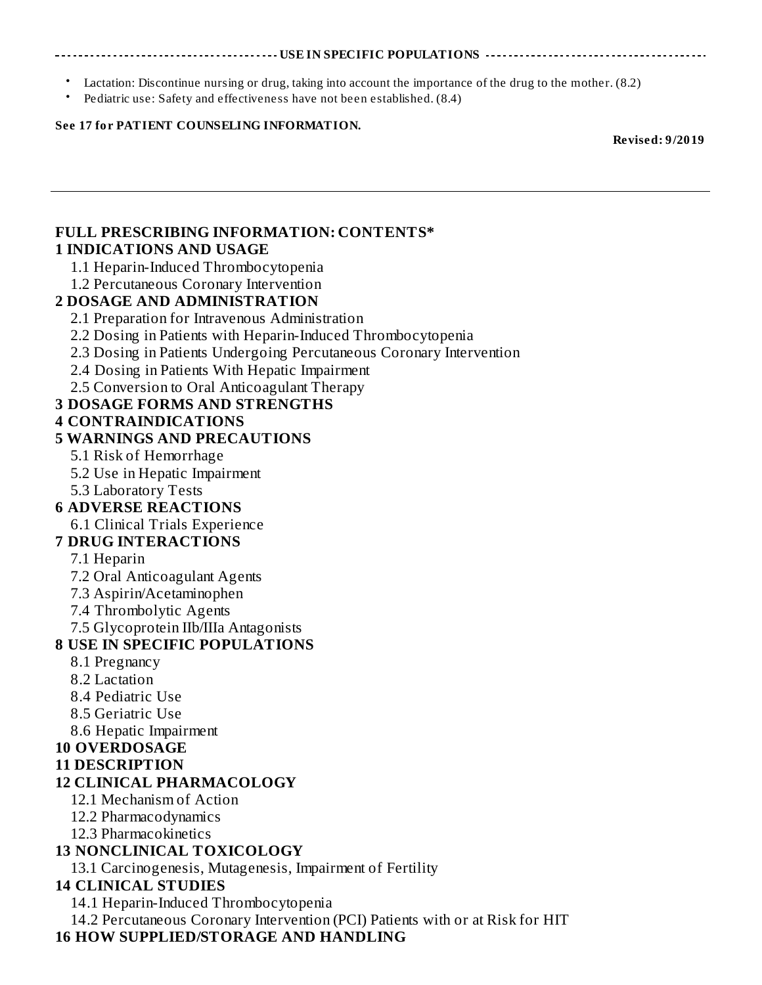#### **USE IN SPECIFIC POPULATIONS**

- Lactation: Discontinue nursing or drug, taking into account the importance of the drug to the mother. (8.2)
- Pediatric use: Safety and effectiveness have not been established. (8.4)

#### **See 17 for PATIENT COUNSELING INFORMATION.**

**Revised: 9/2019**

#### **FULL PRESCRIBING INFORMATION: CONTENTS\* 1 INDICATIONS AND USAGE**

1.1 Heparin-Induced Thrombocytopenia

### 1.2 Percutaneous Coronary Intervention

### **2 DOSAGE AND ADMINISTRATION**

- 2.1 Preparation for Intravenous Administration
- 2.2 Dosing in Patients with Heparin-Induced Thrombocytopenia
- 2.3 Dosing in Patients Undergoing Percutaneous Coronary Intervention
- 2.4 Dosing in Patients With Hepatic Impairment
- 2.5 Conversion to Oral Anticoagulant Therapy

### **3 DOSAGE FORMS AND STRENGTHS**

### **4 CONTRAINDICATIONS**

### **5 WARNINGS AND PRECAUTIONS**

- 5.1 Risk of Hemorrhage
- 5.2 Use in Hepatic Impairment
- 5.3 Laboratory Tests

### **6 ADVERSE REACTIONS**

6.1 Clinical Trials Experience

### **7 DRUG INTERACTIONS**

- 7.1 Heparin
- 7.2 Oral Anticoagulant Agents
- 7.3 Aspirin/Acetaminophen
- 7.4 Thrombolytic Agents
- 7.5 Glycoprotein IIb/IIIa Antagonists

### **8 USE IN SPECIFIC POPULATIONS**

- 8.1 Pregnancy
- 8.2 Lactation
- 8.4 Pediatric Use
- 8.5 Geriatric Use
- 8.6 Hepatic Impairment

### **10 OVERDOSAGE**

**11 DESCRIPTION**

### **12 CLINICAL PHARMACOLOGY**

- 12.1 Mechanism of Action
- 12.2 Pharmacodynamics
- 12.3 Pharmacokinetics

### **13 NONCLINICAL TOXICOLOGY**

13.1 Carcinogenesis, Mutagenesis, Impairment of Fertility

### **14 CLINICAL STUDIES**

14.1 Heparin-Induced Thrombocytopenia

14.2 Percutaneous Coronary Intervention (PCI) Patients with or at Risk for HIT

### **16 HOW SUPPLIED/STORAGE AND HANDLING**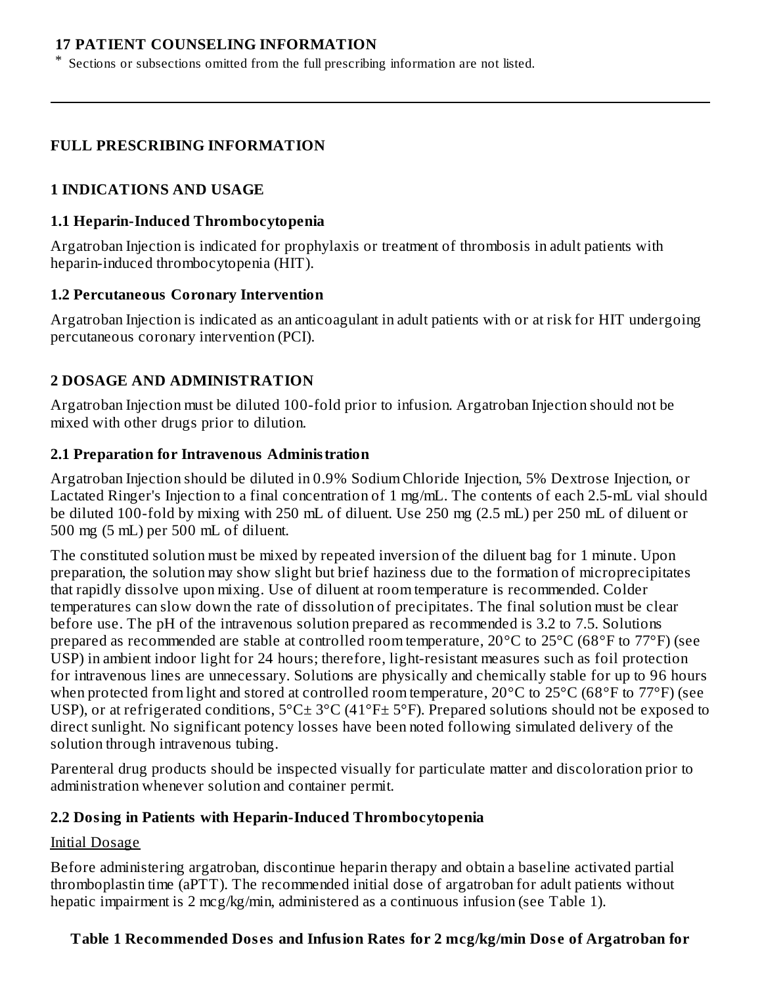#### **17 PATIENT COUNSELING INFORMATION**

\* Sections or subsections omitted from the full prescribing information are not listed.

#### **FULL PRESCRIBING INFORMATION**

#### **1 INDICATIONS AND USAGE**

#### **1.1 Heparin-Induced Thrombocytopenia**

Argatroban Injection is indicated for prophylaxis or treatment of thrombosis in adult patients with heparin-induced thrombocytopenia (HIT).

#### **1.2 Percutaneous Coronary Intervention**

Argatroban Injection is indicated as an anticoagulant in adult patients with or at risk for HIT undergoing percutaneous coronary intervention (PCI).

### **2 DOSAGE AND ADMINISTRATION**

Argatroban Injection must be diluted 100-fold prior to infusion. Argatroban Injection should not be mixed with other drugs prior to dilution.

#### **2.1 Preparation for Intravenous Administration**

Argatroban Injection should be diluted in 0.9% Sodium Chloride Injection, 5% Dextrose Injection, or Lactated Ringer's Injection to a final concentration of 1 mg/mL. The contents of each 2.5-mL vial should be diluted 100-fold by mixing with 250 mL of diluent. Use 250 mg (2.5 mL) per 250 mL of diluent or 500 mg (5 mL) per 500 mL of diluent.

The constituted solution must be mixed by repeated inversion of the diluent bag for 1 minute. Upon preparation, the solution may show slight but brief haziness due to the formation of microprecipitates that rapidly dissolve upon mixing. Use of diluent at room temperature is recommended. Colder temperatures can slow down the rate of dissolution of precipitates. The final solution must be clear before use. The pH of the intravenous solution prepared as recommended is 3.2 to 7.5. Solutions prepared as recommended are stable at controlled room temperature, 20°C to 25°C (68°F to 77°F) (see USP) in ambient indoor light for 24 hours; therefore, light-resistant measures such as foil protection for intravenous lines are unnecessary. Solutions are physically and chemically stable for up to 96 hours when protected from light and stored at controlled room temperature, 20°C to 25°C (68°F to 77°F) (see USP), or at refrigerated conditions,  $5^{\circ}$ C  $\pm$  3°C (41°F $\pm$  5°F). Prepared solutions should not be exposed to direct sunlight. No significant potency losses have been noted following simulated delivery of the solution through intravenous tubing.

Parenteral drug products should be inspected visually for particulate matter and discoloration prior to administration whenever solution and container permit.

#### **2.2 Dosing in Patients with Heparin-Induced Thrombocytopenia**

#### Initial Dosage

Before administering argatroban, discontinue heparin therapy and obtain a baseline activated partial thromboplastin time (aPTT). The recommended initial dose of argatroban for adult patients without hepatic impairment is 2 mcg/kg/min, administered as a continuous infusion (see Table 1).

### **Table 1 Recommended Dos es and Infusion Rates for 2 mcg/kg/min Dos e of Argatroban for**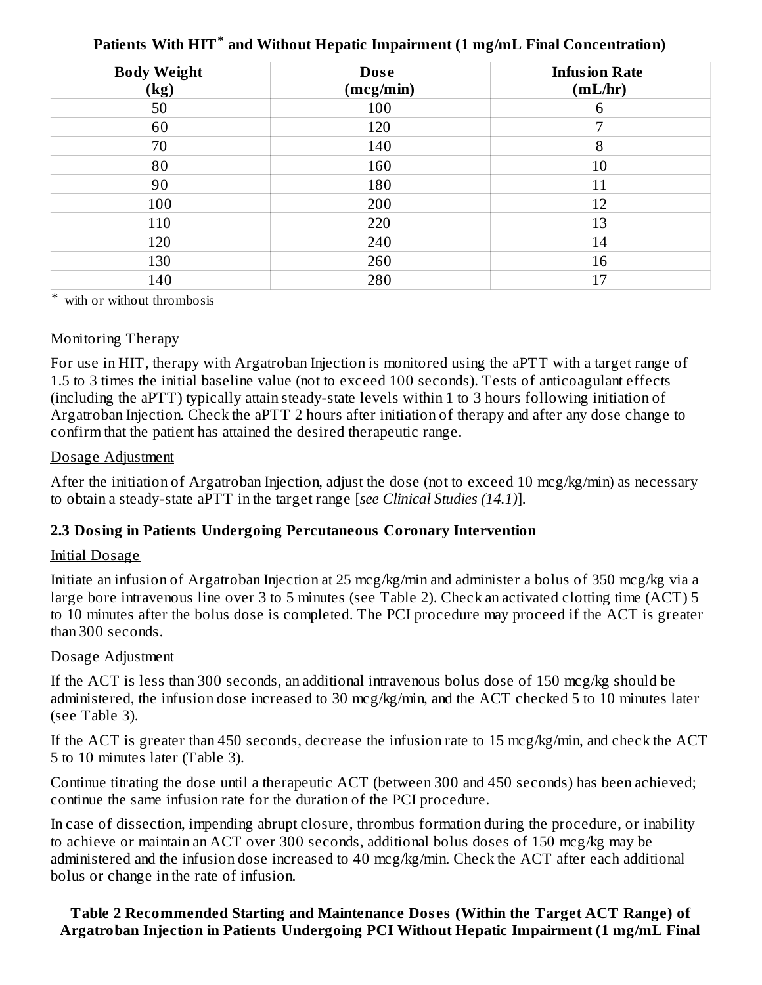| <b>Body Weight</b><br>(kg) | <b>Dose</b><br>(mcg/min) | <b>Infusion Rate</b><br>(mL/hr) |
|----------------------------|--------------------------|---------------------------------|
| 50                         | 100                      | 6                               |
| 60                         | 120                      | 7                               |
| 70                         | 140                      | 8                               |
| 80                         | 160                      | 10                              |
| 90                         | 180                      | 11                              |
| 100                        | 200                      | 12                              |
| 110                        | 220                      | 13                              |
| 120                        | 240                      | 14                              |
| 130                        | 260                      | 16                              |
| 140                        | 280                      | 17                              |

**Patients With HIT and Without Hepatic Impairment (1 mg/mL Final Concentration) \***

\* with or without thrombosis

#### Monitoring Therapy

For use in HIT, therapy with Argatroban Injection is monitored using the aPTT with a target range of 1.5 to 3 times the initial baseline value (not to exceed 100 seconds). Tests of anticoagulant effects (including the aPTT) typically attain steady-state levels within 1 to 3 hours following initiation of Argatroban Injection. Check the aPTT 2 hours after initiation of therapy and after any dose change to confirm that the patient has attained the desired therapeutic range.

#### Dosage Adjustment

After the initiation of Argatroban Injection, adjust the dose (not to exceed 10 mcg/kg/min) as necessary to obtain a steady-state aPTT in the target range [*see Clinical Studies (14.1)*].

### **2.3 Dosing in Patients Undergoing Percutaneous Coronary Intervention**

#### Initial Dosage

Initiate an infusion of Argatroban Injection at 25 mcg/kg/min and administer a bolus of 350 mcg/kg via a large bore intravenous line over 3 to 5 minutes (see Table 2). Check an activated clotting time (ACT) 5 to 10 minutes after the bolus dose is completed. The PCI procedure may proceed if the ACT is greater than 300 seconds.

#### Dosage Adjustment

If the ACT is less than 300 seconds, an additional intravenous bolus dose of 150 mcg/kg should be administered, the infusion dose increased to 30 mcg/kg/min, and the ACT checked 5 to 10 minutes later (see Table 3).

If the ACT is greater than 450 seconds, decrease the infusion rate to 15 mcg/kg/min, and check the ACT 5 to 10 minutes later (Table 3).

Continue titrating the dose until a therapeutic ACT (between 300 and 450 seconds) has been achieved; continue the same infusion rate for the duration of the PCI procedure.

In case of dissection, impending abrupt closure, thrombus formation during the procedure, or inability to achieve or maintain an ACT over 300 seconds, additional bolus doses of 150 mcg/kg may be administered and the infusion dose increased to 40 mcg/kg/min. Check the ACT after each additional bolus or change in the rate of infusion.

**Table 2 Recommended Starting and Maintenance Dos es (Within the Target ACT Range) of Argatroban Injection in Patients Undergoing PCI Without Hepatic Impairment (1 mg/mL Final**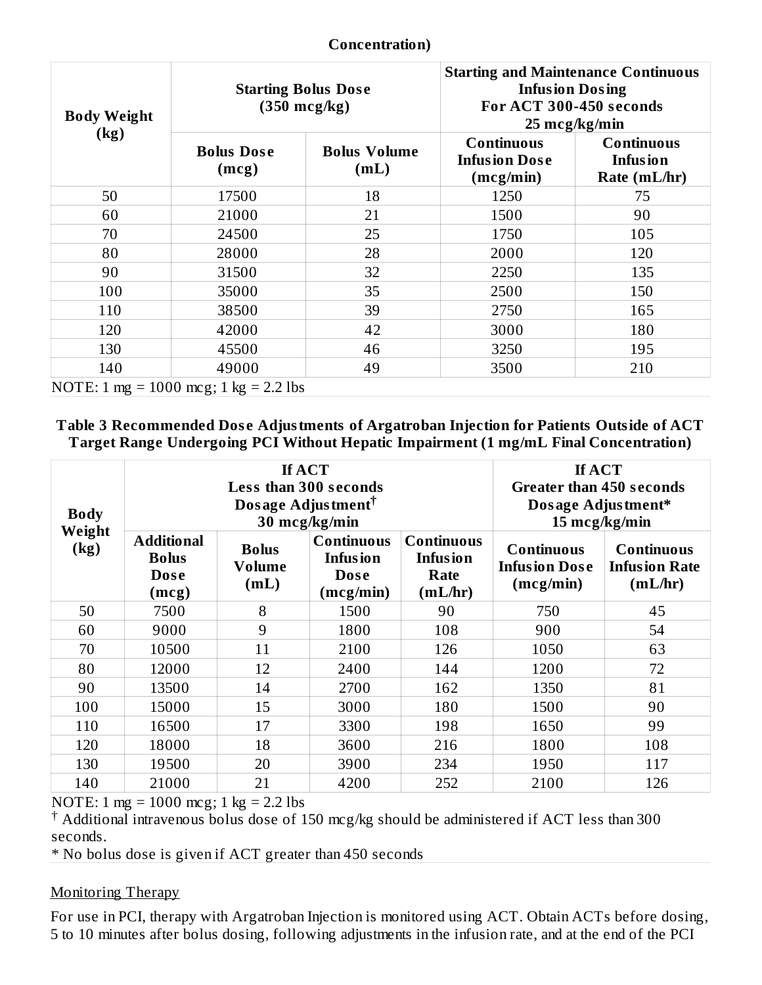| <b>Body Weight</b> | <b>Starting Bolus Dose</b><br>$(350 \text{ mcg/kg})$ |                             | <b>Starting and Maintenance Continuous</b><br><b>Infusion Dosing</b><br>For ACT 300-450 seconds | $25 \text{~mcg/kg/min}$                                |
|--------------------|------------------------------------------------------|-----------------------------|-------------------------------------------------------------------------------------------------|--------------------------------------------------------|
| (kg)               | <b>Bolus Dose</b><br>(mcg)                           | <b>Bolus Volume</b><br>(mL) | <b>Continuous</b><br><b>Infusion Dose</b><br>(mcg/min)                                          | <b>Continuous</b><br><b>Infusion</b><br>Rate $(mL/hr)$ |
| 50                 | 17500                                                | 18                          | 1250                                                                                            | 75                                                     |
| 60                 | 21000                                                | 21                          | 1500                                                                                            | 90                                                     |
| 70                 | 24500                                                | 25                          | 1750                                                                                            | 105                                                    |
| 80                 | 28000                                                | 28                          | 2000                                                                                            | 120                                                    |
| 90                 | 31500                                                | 32                          | 2250                                                                                            | 135                                                    |
| 100                | 35000                                                | 35                          | 2500                                                                                            | 150                                                    |
| 110                | 38500                                                | 39                          | 2750                                                                                            | 165                                                    |
| 120                | 42000                                                | 42                          | 3000                                                                                            | 180                                                    |
| 130                | 45500                                                | 46                          | 3250                                                                                            | 195                                                    |
| 140                | 49000                                                | 49                          | 3500                                                                                            | 210                                                    |
|                    | NOTE: 1 mg = 1000 mcg; 1 kg = 2.2 lbs                |                             |                                                                                                 |                                                        |

#### **Concentration)**

#### **Table 3 Recommended Dos e Adjustments of Argatroban Injection for Patients Outside of ACT Target Range Undergoing PCI Without Hepatic Impairment (1 mg/mL Final Concentration)**

| <b>Body</b>    | If ACT<br><b>Less than 300 seconds</b><br>Dosage Adjustment <sup>†</sup><br>30 mcg/kg/min |                                       |                                                                  | If ACT<br><b>Greater than 450 seconds</b><br>Dosage Adjustment*<br>15 mcg/kg/min |                                                        |                                                      |
|----------------|-------------------------------------------------------------------------------------------|---------------------------------------|------------------------------------------------------------------|----------------------------------------------------------------------------------|--------------------------------------------------------|------------------------------------------------------|
| Weight<br>(kg) | <b>Additional</b><br><b>Bolus</b><br><b>Dose</b><br>(mcg)                                 | <b>Bolus</b><br><b>Volume</b><br>(mL) | <b>Continuous</b><br><b>Infusion</b><br><b>Dose</b><br>(mcg/min) | <b>Continuous</b><br><b>Infusion</b><br>Rate<br>(mL/hr)                          | <b>Continuous</b><br><b>Infusion Dose</b><br>(mcg/min) | <b>Continuous</b><br><b>Infusion Rate</b><br>(mL/hr) |
| 50             | 7500                                                                                      | 8                                     | 1500                                                             | 90                                                                               | 750                                                    | 45                                                   |
| 60             | 9000                                                                                      | 9                                     | 1800                                                             | 108                                                                              | 900                                                    | 54                                                   |
| 70             | 10500                                                                                     | 11                                    | 2100                                                             | 126                                                                              | 1050                                                   | 63                                                   |
| 80             | 12000                                                                                     | 12                                    | 2400                                                             | 144                                                                              | 1200                                                   | 72                                                   |
| 90             | 13500                                                                                     | 14                                    | 2700                                                             | 162                                                                              | 1350                                                   | 81                                                   |
| 100            | 15000                                                                                     | 15                                    | 3000                                                             | 180                                                                              | 1500                                                   | 90                                                   |
| 110            | 16500                                                                                     | 17                                    | 3300                                                             | 198                                                                              | 1650                                                   | 99                                                   |
| 120            | 18000                                                                                     | 18                                    | 3600                                                             | 216                                                                              | 1800                                                   | 108                                                  |
| 130            | 19500                                                                                     | 20                                    | 3900                                                             | 234                                                                              | 1950                                                   | 117                                                  |
| 140            | 21000                                                                                     | 21                                    | 4200                                                             | 252                                                                              | 2100                                                   | 126                                                  |

NOTE: 1 mg = 1000 mcg; 1 kg = 2.2 lbs

<sup>†</sup> Additional intravenous bolus dose of 150 mcg/kg should be administered if ACT less than 300 seconds.

\* No bolus dose is given if ACT greater than 450 seconds

#### Monitoring Therapy

For use in PCI, therapy with Argatroban Injection is monitored using ACT. Obtain ACTs before dosing, 5 to 10 minutes after bolus dosing, following adjustments in the infusion rate, and at the end of the PCI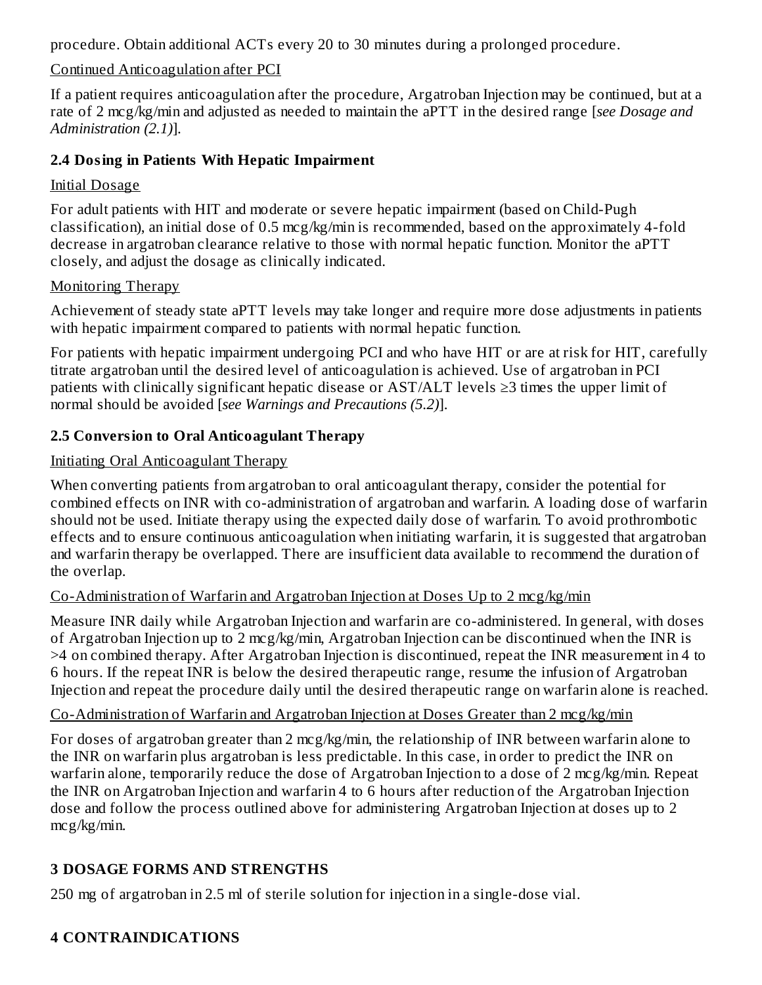procedure. Obtain additional ACTs every 20 to 30 minutes during a prolonged procedure.

### Continued Anticoagulation after PCI

If a patient requires anticoagulation after the procedure, Argatroban Injection may be continued, but at a rate of 2 mcg/kg/min and adjusted as needed to maintain the aPTT in the desired range [*see Dosage and Administration (2.1)*].

### **2.4 Dosing in Patients With Hepatic Impairment**

### Initial Dosage

For adult patients with HIT and moderate or severe hepatic impairment (based on Child-Pugh classification), an initial dose of 0.5 mcg/kg/min is recommended, based on the approximately 4-fold decrease in argatroban clearance relative to those with normal hepatic function. Monitor the aPTT closely, and adjust the dosage as clinically indicated.

### Monitoring Therapy

Achievement of steady state aPTT levels may take longer and require more dose adjustments in patients with hepatic impairment compared to patients with normal hepatic function.

For patients with hepatic impairment undergoing PCI and who have HIT or are at risk for HIT, carefully titrate argatroban until the desired level of anticoagulation is achieved. Use of argatroban in PCI patients with clinically significant hepatic disease or AST/ALT levels ≥3 times the upper limit of normal should be avoided [*see Warnings and Precautions (5.2)*].

### **2.5 Conversion to Oral Anticoagulant Therapy**

### Initiating Oral Anticoagulant Therapy

When converting patients from argatroban to oral anticoagulant therapy, consider the potential for combined effects on INR with co-administration of argatroban and warfarin. A loading dose of warfarin should not be used. Initiate therapy using the expected daily dose of warfarin. To avoid prothrombotic effects and to ensure continuous anticoagulation when initiating warfarin, it is suggested that argatroban and warfarin therapy be overlapped. There are insufficient data available to recommend the duration of the overlap.

### Co-Administration of Warfarin and Argatroban Injection at Doses Up to 2 mcg/kg/min

Measure INR daily while Argatroban Injection and warfarin are co-administered. In general, with doses of Argatroban Injection up to 2 mcg/kg/min, Argatroban Injection can be discontinued when the INR is >4 on combined therapy. After Argatroban Injection is discontinued, repeat the INR measurement in 4 to 6 hours. If the repeat INR is below the desired therapeutic range, resume the infusion of Argatroban Injection and repeat the procedure daily until the desired therapeutic range on warfarin alone is reached.

### Co-Administration of Warfarin and Argatroban Injection at Doses Greater than 2 mcg/kg/min

For doses of argatroban greater than 2 mcg/kg/min, the relationship of INR between warfarin alone to the INR on warfarin plus argatroban is less predictable. In this case, in order to predict the INR on warfarin alone, temporarily reduce the dose of Argatroban Injection to a dose of 2 mcg/kg/min. Repeat the INR on Argatroban Injection and warfarin 4 to 6 hours after reduction of the Argatroban Injection dose and follow the process outlined above for administering Argatroban Injection at doses up to 2 mcg/kg/min.

### **3 DOSAGE FORMS AND STRENGTHS**

250 mg of argatroban in 2.5 ml of sterile solution for injection in a single-dose vial.

### **4 CONTRAINDICATIONS**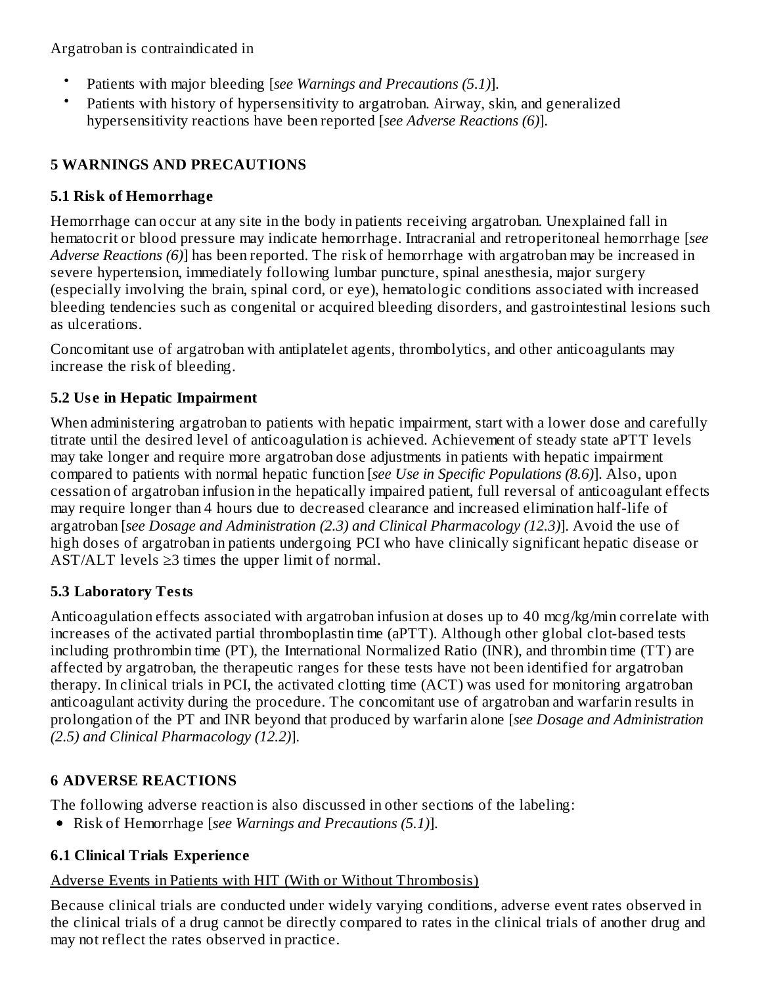Argatroban is contraindicated in

- Patients with major bleeding [*see Warnings and Precautions (5.1)*].
- Patients with history of hypersensitivity to argatroban. Airway, skin, and generalized hypersensitivity reactions have been reported [*see Adverse Reactions (6)*].

# **5 WARNINGS AND PRECAUTIONS**

### **5.1 Risk of Hemorrhage**

Hemorrhage can occur at any site in the body in patients receiving argatroban. Unexplained fall in hematocrit or blood pressure may indicate hemorrhage. Intracranial and retroperitoneal hemorrhage [*see Adverse Reactions (6)*] has been reported. The risk of hemorrhage with argatroban may be increased in severe hypertension, immediately following lumbar puncture, spinal anesthesia, major surgery (especially involving the brain, spinal cord, or eye), hematologic conditions associated with increased bleeding tendencies such as congenital or acquired bleeding disorders, and gastrointestinal lesions such as ulcerations.

Concomitant use of argatroban with antiplatelet agents, thrombolytics, and other anticoagulants may increase the risk of bleeding.

# **5.2 Us e in Hepatic Impairment**

When administering argatroban to patients with hepatic impairment, start with a lower dose and carefully titrate until the desired level of anticoagulation is achieved. Achievement of steady state aPTT levels may take longer and require more argatroban dose adjustments in patients with hepatic impairment compared to patients with normal hepatic function [*see Use in Specific Populations (8.6)*]. Also, upon cessation of argatroban infusion in the hepatically impaired patient, full reversal of anticoagulant effects may require longer than 4 hours due to decreased clearance and increased elimination half-life of argatroban [*see Dosage and Administration (2.3) and Clinical Pharmacology (12.3)*]. Avoid the use of high doses of argatroban in patients undergoing PCI who have clinically significant hepatic disease or AST/ALT levels  $\geq$ 3 times the upper limit of normal.

# **5.3 Laboratory Tests**

Anticoagulation effects associated with argatroban infusion at doses up to 40 mcg/kg/min correlate with increases of the activated partial thromboplastin time (aPTT). Although other global clot-based tests including prothrombin time (PT), the International Normalized Ratio (INR), and thrombin time (TT) are affected by argatroban, the therapeutic ranges for these tests have not been identified for argatroban therapy. In clinical trials in PCI, the activated clotting time (ACT) was used for monitoring argatroban anticoagulant activity during the procedure. The concomitant use of argatroban and warfarin results in prolongation of the PT and INR beyond that produced by warfarin alone [*see Dosage and Administration (2.5) and Clinical Pharmacology (12.2)*].

# **6 ADVERSE REACTIONS**

The following adverse reaction is also discussed in other sections of the labeling:

Risk of Hemorrhage [*see Warnings and Precautions (5.1)*].

# **6.1 Clinical Trials Experience**

# Adverse Events in Patients with HIT (With or Without Thrombosis)

Because clinical trials are conducted under widely varying conditions, adverse event rates observed in the clinical trials of a drug cannot be directly compared to rates in the clinical trials of another drug and may not reflect the rates observed in practice.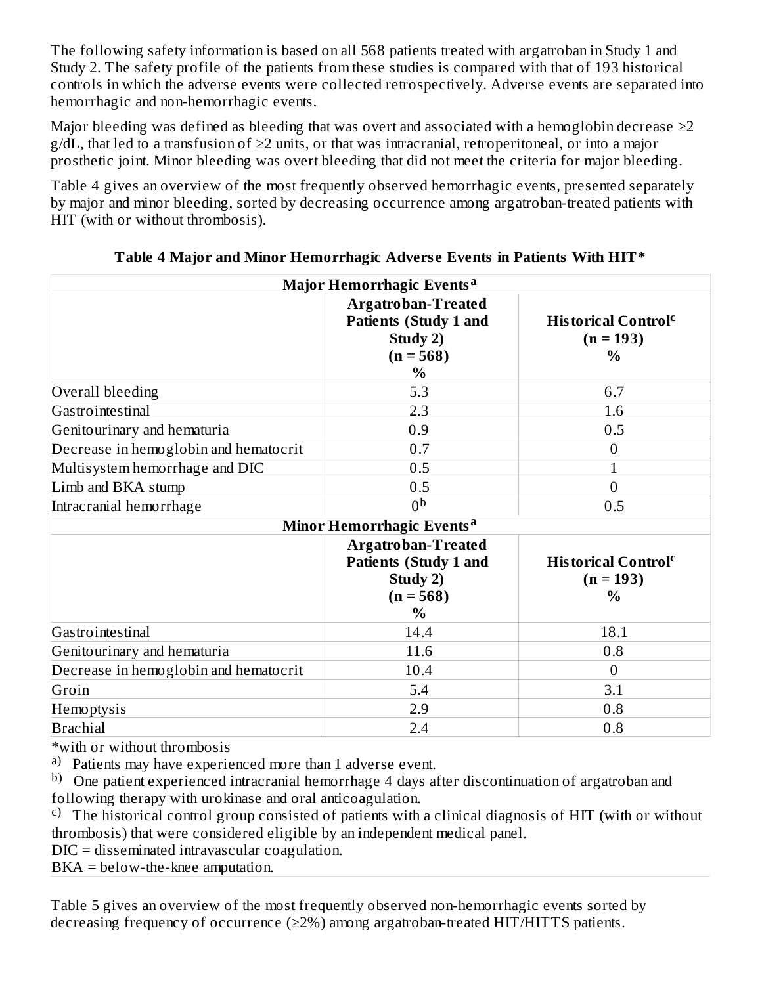The following safety information is based on all 568 patients treated with argatroban in Study 1 and Study 2. The safety profile of the patients from these studies is compared with that of 193 historical controls in which the adverse events were collected retrospectively. Adverse events are separated into hemorrhagic and non-hemorrhagic events.

Major bleeding was defined as bleeding that was overt and associated with a hemoglobin decrease  $\geq 2$  $g/dL$ , that led to a transfusion of  $\geq 2$  units, or that was intracranial, retroperitoneal, or into a major prosthetic joint. Minor bleeding was overt bleeding that did not meet the criteria for major bleeding.

Table 4 gives an overview of the most frequently observed hemorrhagic events, presented separately by major and minor bleeding, sorted by decreasing occurrence among argatroban-treated patients with HIT (with or without thrombosis).

| Major Hemorrhagic Events <sup>a</sup> |                                                                                                       |                                                                        |  |  |
|---------------------------------------|-------------------------------------------------------------------------------------------------------|------------------------------------------------------------------------|--|--|
|                                       | <b>Argatroban-Treated</b><br><b>Patients (Study 1 and</b><br>Study 2)<br>$(n = 568)$<br>$\%$          | <b>Historical Control</b> <sup>c</sup><br>$(n = 193)$<br>$\frac{0}{0}$ |  |  |
| Overall bleeding                      | 5.3                                                                                                   | 6.7                                                                    |  |  |
| Gastrointestinal                      | 2.3                                                                                                   | 1.6                                                                    |  |  |
| Genitourinary and hematuria           | 0.9                                                                                                   | 0.5                                                                    |  |  |
| Decrease in hemoglobin and hematocrit | 0.7                                                                                                   | $\overline{0}$                                                         |  |  |
| Multisystem hemorrhage and DIC        | 0.5                                                                                                   | $\mathbf{1}$                                                           |  |  |
| Limb and BKA stump                    | 0.5                                                                                                   | $\overline{0}$                                                         |  |  |
| Intracranial hemorrhage               | 0 <sub>p</sub>                                                                                        | 0.5                                                                    |  |  |
| Minor Hemorrhagic Events <sup>a</sup> |                                                                                                       |                                                                        |  |  |
|                                       | <b>Argatroban-Treated</b><br><b>Patients (Study 1 and</b><br>Study 2)<br>$(n = 568)$<br>$\frac{0}{0}$ | <b>Historical Control</b> <sup>c</sup><br>$(n = 193)$<br>$\frac{0}{0}$ |  |  |
| Gastrointestinal                      | 14.4                                                                                                  | 18.1                                                                   |  |  |
| Genitourinary and hematuria           | 11.6                                                                                                  | 0.8                                                                    |  |  |
| Decrease in hemoglobin and hematocrit | 10.4                                                                                                  | $\theta$                                                               |  |  |
| Groin                                 | 5.4                                                                                                   | 3.1                                                                    |  |  |
| Hemoptysis                            | 2.9                                                                                                   | 0.8                                                                    |  |  |
| <b>Brachial</b>                       | 2.4                                                                                                   | 0.8                                                                    |  |  |

### **Table 4 Major and Minor Hemorrhagic Advers e Events in Patients With HIT\***

\*with or without thrombosis

a) Patients may have experienced more than 1 adverse event.

b) One patient experienced intracranial hemorrhage 4 days after discontinuation of argatroban and following therapy with urokinase and oral anticoagulation.

<sup>c)</sup> The historical control group consisted of patients with a clinical diagnosis of HIT (with or without thrombosis) that were considered eligible by an independent medical panel.

DIC = disseminated intravascular coagulation.

BKA = below-the-knee amputation.

Table 5 gives an overview of the most frequently observed non-hemorrhagic events sorted by decreasing frequency of occurrence  $(\geq 2\%)$  among argatroban-treated HIT/HITTS patients.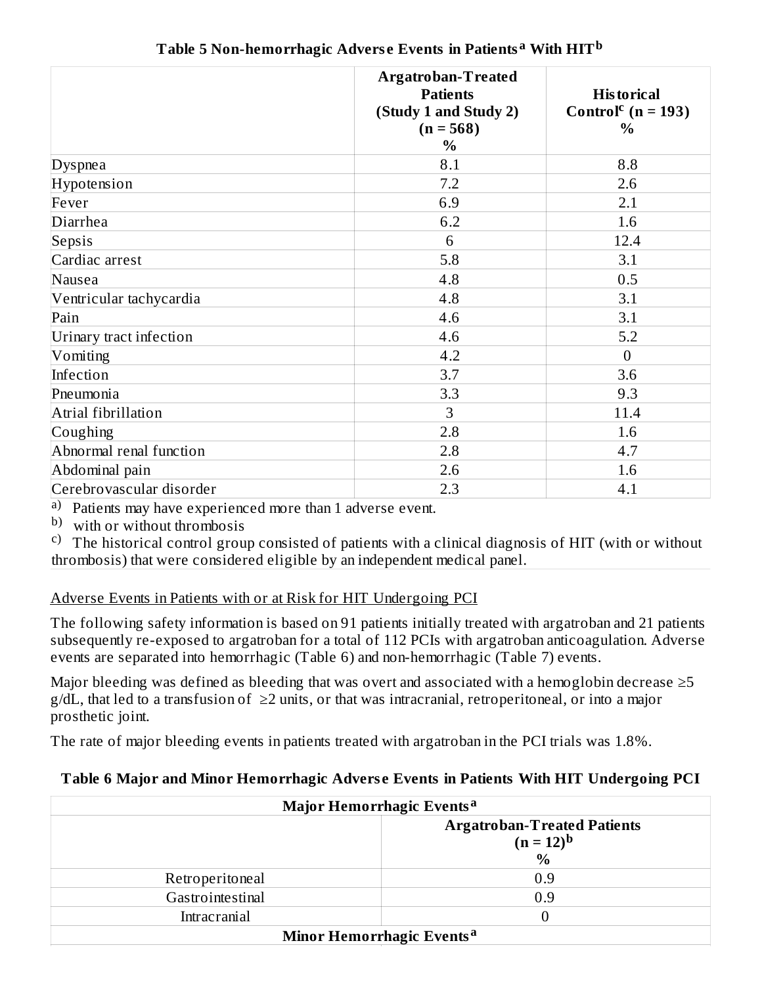|                          | <b>Argatroban-Treated</b><br><b>Patients</b><br>(Study 1 and Study 2)<br>$(n = 568)$<br>$\%$ | <b>Historical</b><br>Control <sup>c</sup> ( $n = 193$ )<br>$\frac{0}{0}$ |
|--------------------------|----------------------------------------------------------------------------------------------|--------------------------------------------------------------------------|
| Dyspnea                  | 8.1                                                                                          | 8.8                                                                      |
| Hypotension              | 7.2                                                                                          | 2.6                                                                      |
| Fever                    | 6.9                                                                                          | 2.1                                                                      |
| Diarrhea                 | 6.2                                                                                          | 1.6                                                                      |
| Sepsis                   | 6                                                                                            | 12.4                                                                     |
| Cardiac arrest           | 5.8                                                                                          | 3.1                                                                      |
| Nausea                   | 4.8                                                                                          | 0.5                                                                      |
| Ventricular tachycardia  | 4.8                                                                                          | 3.1                                                                      |
| Pain                     | 4.6                                                                                          | 3.1                                                                      |
| Urinary tract infection  | 4.6                                                                                          | 5.2                                                                      |
| Vomiting                 | 4.2                                                                                          | $\overline{0}$                                                           |
| Infection                | 3.7                                                                                          | 3.6                                                                      |
| Pneumonia                | 3.3                                                                                          | 9.3                                                                      |
| Atrial fibrillation      | 3                                                                                            | 11.4                                                                     |
| Coughing                 | 2.8                                                                                          | 1.6                                                                      |
| Abnormal renal function  | 2.8                                                                                          | 4.7                                                                      |
| Abdominal pain           | 2.6                                                                                          | 1.6                                                                      |
| Cerebrovascular disorder | 2.3                                                                                          | 4.1                                                                      |

**Table 5 Non-hemorrhagic Advers e Events in Patients With HIT a b**

a) Patients may have experienced more than 1 adverse event.

b) with or without thrombosis

<sup>c)</sup> The historical control group consisted of patients with a clinical diagnosis of HIT (with or without thrombosis) that were considered eligible by an independent medical panel.

### Adverse Events in Patients with or at Risk for HIT Undergoing PCI

The following safety information is based on 91 patients initially treated with argatroban and 21 patients subsequently re-exposed to argatroban for a total of 112 PCIs with argatroban anticoagulation. Adverse events are separated into hemorrhagic (Table 6) and non-hemorrhagic (Table 7) events.

Major bleeding was defined as bleeding that was overt and associated with a hemoglobin decrease  $\geq 5$  $g/dL$ , that led to a transfusion of  $\geq 2$  units, or that was intracranial, retroperitoneal, or into a major prosthetic joint.

The rate of major bleeding events in patients treated with argatroban in the PCI trials was 1.8%.

# **Table 6 Major and Minor Hemorrhagic Advers e Events in Patients With HIT Undergoing PCI**

| Major Hemorrhagic Events <sup>a</sup> |                                                                       |  |
|---------------------------------------|-----------------------------------------------------------------------|--|
|                                       | <b>Argatroban-Treated Patients</b><br>$(n = 12)^{b}$<br>$\frac{0}{0}$ |  |
| Retroperitoneal                       | 0.9                                                                   |  |
| Gastrointestinal                      | 0.9                                                                   |  |
| <b>Intracranial</b>                   |                                                                       |  |
|                                       | Minor Hemorrhagic Events <sup>a</sup>                                 |  |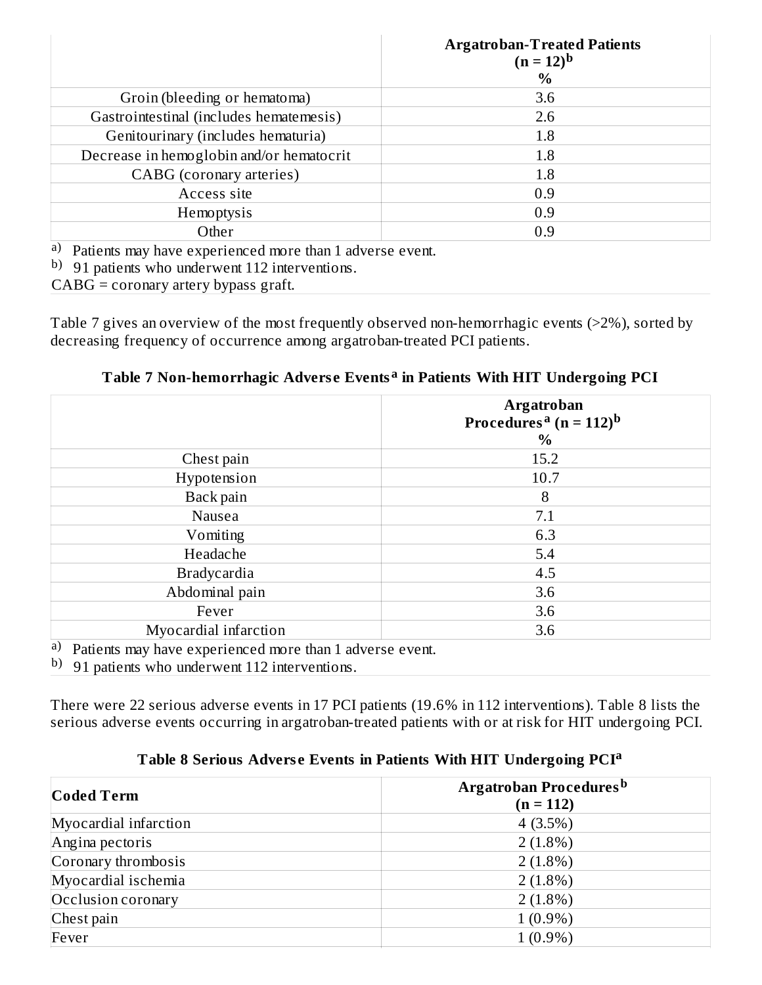|                                                                                                                                                                                                                                                                                                                                                                                             | <b>Argatroban-Treated Patients</b><br>$(n = 12)^{b}$<br>$\%$ |
|---------------------------------------------------------------------------------------------------------------------------------------------------------------------------------------------------------------------------------------------------------------------------------------------------------------------------------------------------------------------------------------------|--------------------------------------------------------------|
| Groin (bleeding or hematoma)                                                                                                                                                                                                                                                                                                                                                                | 3.6                                                          |
| Gastrointestinal (includes hematemesis)                                                                                                                                                                                                                                                                                                                                                     | 2.6                                                          |
| Genitourinary (includes hematuria)                                                                                                                                                                                                                                                                                                                                                          | 1.8                                                          |
| Decrease in hemoglobin and/or hematocrit                                                                                                                                                                                                                                                                                                                                                    | $1.8\,$                                                      |
| CABG (coronary arteries)                                                                                                                                                                                                                                                                                                                                                                    | 1.8                                                          |
| Access site                                                                                                                                                                                                                                                                                                                                                                                 | 0.9                                                          |
| Hemoptysis                                                                                                                                                                                                                                                                                                                                                                                  | 0.9                                                          |
| Other                                                                                                                                                                                                                                                                                                                                                                                       | 0.9                                                          |
| a) Patients may have experienced more than 1 adverse event.<br>$h \circ f$ $h \circ f$ $\frac{1}{2}$ $\frac{1}{2}$ $\frac{1}{2}$ $\frac{1}{2}$ $\frac{1}{2}$ $\frac{1}{2}$ $\frac{1}{2}$ $\frac{1}{2}$ $\frac{1}{2}$ $\frac{1}{2}$ $\frac{1}{2}$ $\frac{1}{2}$ $\frac{1}{2}$ $\frac{1}{2}$ $\frac{1}{2}$ $\frac{1}{2}$ $\frac{1}{2}$ $\frac{1}{2}$ $\frac{1}{2}$ $\frac{1}{2}$ $\frac{1}{2$ |                                                              |

b) 91 patients who underwent 112 interventions.

CABG = coronary artery bypass graft.

Table 7 gives an overview of the most frequently observed non-hemorrhagic events (>2%), sorted by decreasing frequency of occurrence among argatroban-treated PCI patients.

| Table 7 Non-hemorrhagic Adverse Events <sup>a</sup> in Patients With HIT Undergoing PCI |  |
|-----------------------------------------------------------------------------------------|--|
|                                                                                         |  |

| $\%$                                                     |
|----------------------------------------------------------|
|                                                          |
| 15.2                                                     |
| 10.7                                                     |
| 8                                                        |
| 7.1                                                      |
| 6.3                                                      |
| 5.4                                                      |
| 4.5                                                      |
| 3.6                                                      |
| 3.6                                                      |
| 3.6                                                      |
| Dette ute men hans a montenard more than 1 advance arout |

a) Patients may have experienced more than 1 adverse event.

b) 91 patients who underwent 112 interventions.

There were 22 serious adverse events in 17 PCI patients (19.6% in 112 interventions). Table 8 lists the serious adverse events occurring in argatroban-treated patients with or at risk for HIT undergoing PCI.

|  |  |  | Table 8 Serious Adverse Events in Patients With HIT Undergoing PCI <sup>a</sup> |  |
|--|--|--|---------------------------------------------------------------------------------|--|
|  |  |  |                                                                                 |  |

| <b>Coded Term</b>     | Argatroban Procedures <sup>b</sup><br>$(n = 112)$ |  |  |  |  |
|-----------------------|---------------------------------------------------|--|--|--|--|
| Myocardial infarction | $4(3.5\%)$                                        |  |  |  |  |
| Angina pectoris       | $2(1.8\%)$                                        |  |  |  |  |
| Coronary thrombosis   | $2(1.8\%)$                                        |  |  |  |  |
| Myocardial ischemia   | $2(1.8\%)$                                        |  |  |  |  |
| Occlusion coronary    | $2(1.8\%)$                                        |  |  |  |  |
| Chest pain            | $1(0.9\%)$                                        |  |  |  |  |
| Fever                 | $1(0.9\%)$                                        |  |  |  |  |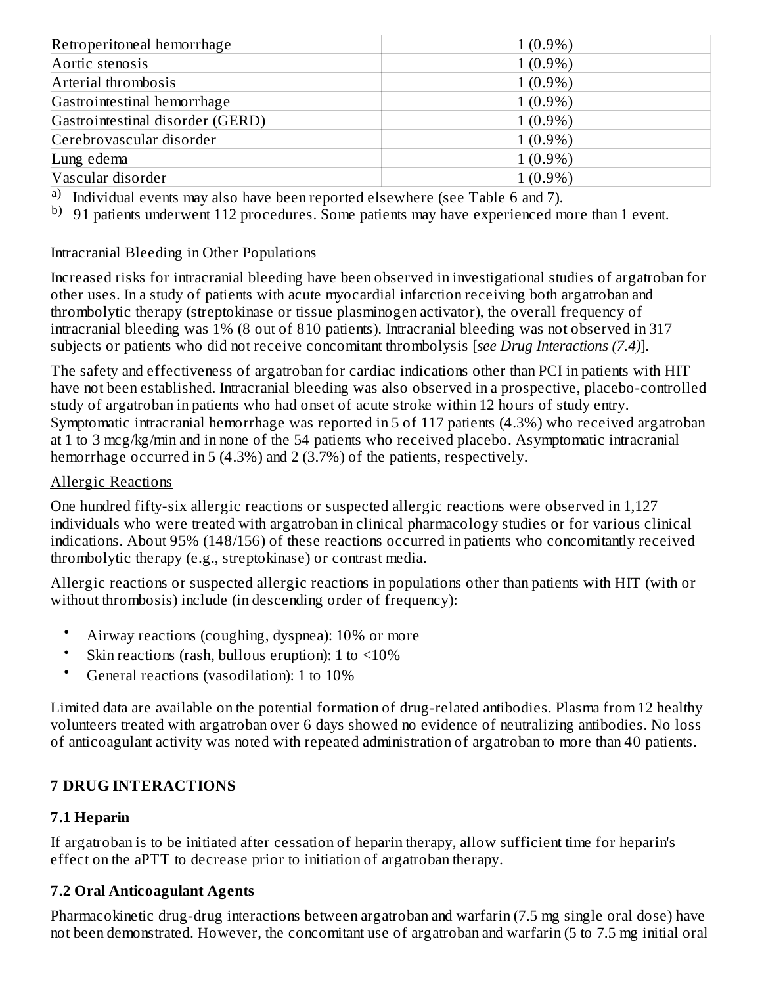| Retroperitoneal hemorrhage       | $1(0.9\%)$ |
|----------------------------------|------------|
| Aortic stenosis                  | $1(0.9\%)$ |
| Arterial thrombosis              | $1(0.9\%)$ |
| Gastrointestinal hemorrhage      | $1(0.9\%)$ |
| Gastrointestinal disorder (GERD) | $1(0.9\%)$ |
| Cerebrovascular disorder         | $1(0.9\%)$ |
| Lung edema                       | $1(0.9\%)$ |
| Vascular disorder                | $1(0.9\%)$ |

a) Individual events may also have been reported elsewhere (see Table 6 and 7).

 $^{\rm b)}$  91 patients underwent 112 procedures. Some patients may have experienced more than 1 event.

#### Intracranial Bleeding in Other Populations

Increased risks for intracranial bleeding have been observed in investigational studies of argatroban for other uses. In a study of patients with acute myocardial infarction receiving both argatroban and thrombolytic therapy (streptokinase or tissue plasminogen activator), the overall frequency of intracranial bleeding was 1% (8 out of 810 patients). Intracranial bleeding was not observed in 317 subjects or patients who did not receive concomitant thrombolysis [*see Drug Interactions (7.4)*].

The safety and effectiveness of argatroban for cardiac indications other than PCI in patients with HIT have not been established. Intracranial bleeding was also observed in a prospective, placebo-controlled study of argatroban in patients who had onset of acute stroke within 12 hours of study entry. Symptomatic intracranial hemorrhage was reported in 5 of 117 patients (4.3%) who received argatroban at 1 to 3 mcg/kg/min and in none of the 54 patients who received placebo. Asymptomatic intracranial hemorrhage occurred in 5 (4.3%) and 2 (3.7%) of the patients, respectively.

#### Allergic Reactions

One hundred fifty-six allergic reactions or suspected allergic reactions were observed in 1,127 individuals who were treated with argatroban in clinical pharmacology studies or for various clinical indications. About 95% (148/156) of these reactions occurred in patients who concomitantly received thrombolytic therapy (e.g., streptokinase) or contrast media.

Allergic reactions or suspected allergic reactions in populations other than patients with HIT (with or without thrombosis) include (in descending order of frequency):

- Airway reactions (coughing, dyspnea): 10% or more
- Skin reactions (rash, bullous eruption): 1 to  $\leq 10\%$
- General reactions (vasodilation): 1 to 10%

Limited data are available on the potential formation of drug-related antibodies. Plasma from 12 healthy volunteers treated with argatroban over 6 days showed no evidence of neutralizing antibodies. No loss of anticoagulant activity was noted with repeated administration of argatroban to more than 40 patients.

### **7 DRUG INTERACTIONS**

#### **7.1 Heparin**

If argatroban is to be initiated after cessation of heparin therapy, allow sufficient time for heparin's effect on the aPTT to decrease prior to initiation of argatroban therapy.

#### **7.2 Oral Anticoagulant Agents**

Pharmacokinetic drug-drug interactions between argatroban and warfarin (7.5 mg single oral dose) have not been demonstrated. However, the concomitant use of argatroban and warfarin (5 to 7.5 mg initial oral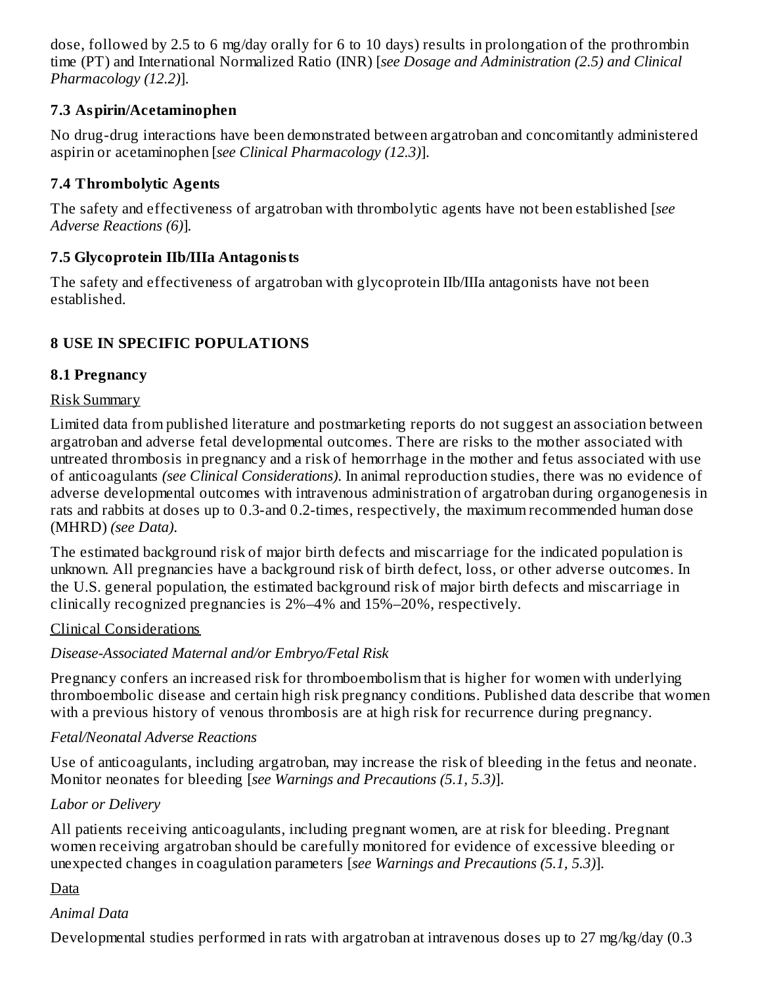dose, followed by 2.5 to 6 mg/day orally for 6 to 10 days) results in prolongation of the prothrombin time (PT) and International Normalized Ratio (INR) [*see Dosage and Administration (2.5) and Clinical Pharmacology (12.2)*].

### **7.3 Aspirin/Acetaminophen**

No drug-drug interactions have been demonstrated between argatroban and concomitantly administered aspirin or acetaminophen [*see Clinical Pharmacology (12.3)*].

### **7.4 Thrombolytic Agents**

The safety and effectiveness of argatroban with thrombolytic agents have not been established [*see Adverse Reactions (6)*]*.*

### **7.5 Glycoprotein IIb/IIIa Antagonists**

The safety and effectiveness of argatroban with glycoprotein IIb/IIIa antagonists have not been established.

### **8 USE IN SPECIFIC POPULATIONS**

### **8.1 Pregnancy**

### Risk Summary

Limited data from published literature and postmarketing reports do not suggest an association between argatroban and adverse fetal developmental outcomes. There are risks to the mother associated with untreated thrombosis in pregnancy and a risk of hemorrhage in the mother and fetus associated with use of anticoagulants *(see Clinical Considerations)*. In animal reproduction studies, there was no evidence of adverse developmental outcomes with intravenous administration of argatroban during organogenesis in rats and rabbits at doses up to 0.3-and 0.2-times, respectively, the maximum recommended human dose (MHRD) *(see Data)*.

The estimated background risk of major birth defects and miscarriage for the indicated population is unknown. All pregnancies have a background risk of birth defect, loss, or other adverse outcomes. In the U.S. general population, the estimated background risk of major birth defects and miscarriage in clinically recognized pregnancies is 2%–4% and 15%–20%, respectively.

### Clinical Considerations

### *Disease-Associated Maternal and/or Embryo/Fetal Risk*

Pregnancy confers an increased risk for thromboembolism that is higher for women with underlying thromboembolic disease and certain high risk pregnancy conditions. Published data describe that women with a previous history of venous thrombosis are at high risk for recurrence during pregnancy.

### *Fetal/Neonatal Adverse Reactions*

Use of anticoagulants, including argatroban, may increase the risk of bleeding in the fetus and neonate. Monitor neonates for bleeding [*see Warnings and Precautions (5.1, 5.3)*].

### *Labor or Delivery*

All patients receiving anticoagulants, including pregnant women, are at risk for bleeding. Pregnant women receiving argatroban should be carefully monitored for evidence of excessive bleeding or unexpected changes in coagulation parameters [*see Warnings and Precautions (5.1, 5.3)*].

### **D**ata

### *Animal Data*

Developmental studies performed in rats with argatroban at intravenous doses up to 27 mg/kg/day (0.3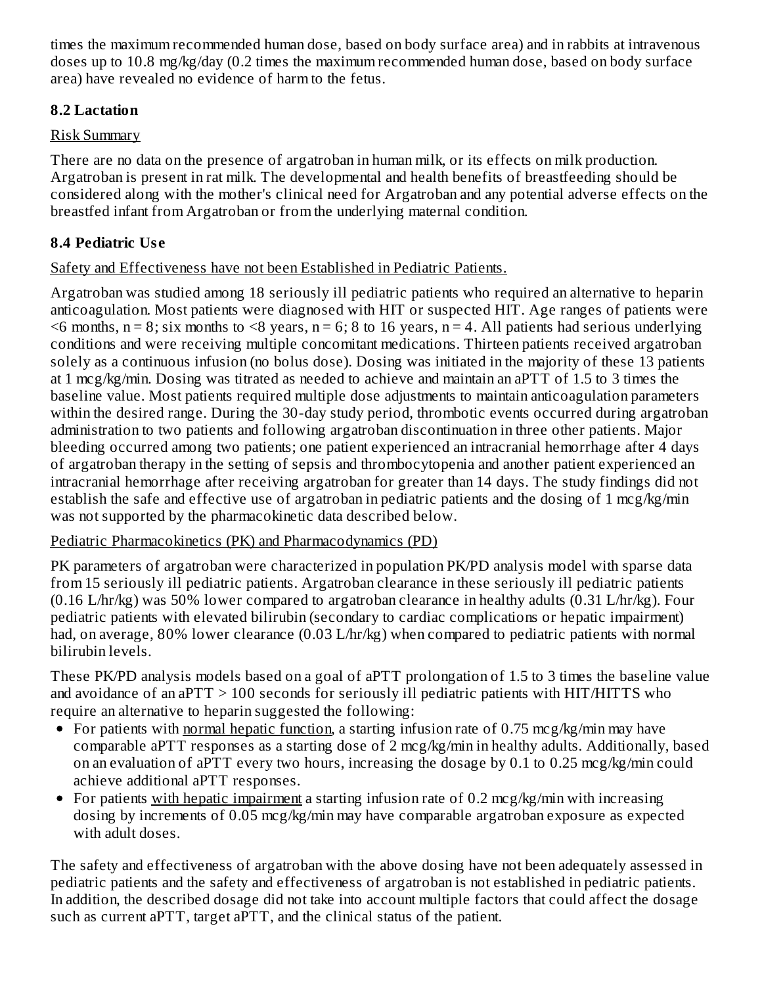times the maximum recommended human dose, based on body surface area) and in rabbits at intravenous doses up to 10.8 mg/kg/day (0.2 times the maximum recommended human dose, based on body surface area) have revealed no evidence of harm to the fetus.

### **8.2 Lactation**

### Risk Summary

There are no data on the presence of argatroban in human milk, or its effects on milk production. Argatroban is present in rat milk. The developmental and health benefits of breastfeeding should be considered along with the mother's clinical need for Argatroban and any potential adverse effects on the breastfed infant from Argatroban or from the underlying maternal condition.

### **8.4 Pediatric Us e**

### Safety and Effectiveness have not been Established in Pediatric Patients.

Argatroban was studied among 18 seriously ill pediatric patients who required an alternative to heparin anticoagulation. Most patients were diagnosed with HIT or suspected HIT. Age ranges of patients were  $\leq$ 6 months, n = 8; six months to  $\leq$ 8 years, n = 6; 8 to 16 years, n = 4. All patients had serious underlying conditions and were receiving multiple concomitant medications. Thirteen patients received argatroban solely as a continuous infusion (no bolus dose). Dosing was initiated in the majority of these 13 patients at 1 mcg/kg/min. Dosing was titrated as needed to achieve and maintain an aPTT of 1.5 to 3 times the baseline value. Most patients required multiple dose adjustments to maintain anticoagulation parameters within the desired range. During the 30-day study period, thrombotic events occurred during argatroban administration to two patients and following argatroban discontinuation in three other patients. Major bleeding occurred among two patients; one patient experienced an intracranial hemorrhage after 4 days of argatroban therapy in the setting of sepsis and thrombocytopenia and another patient experienced an intracranial hemorrhage after receiving argatroban for greater than 14 days. The study findings did not establish the safe and effective use of argatroban in pediatric patients and the dosing of 1 mcg/kg/min was not supported by the pharmacokinetic data described below.

### Pediatric Pharmacokinetics (PK) and Pharmacodynamics (PD)

PK parameters of argatroban were characterized in population PK/PD analysis model with sparse data from 15 seriously ill pediatric patients. Argatroban clearance in these seriously ill pediatric patients (0.16 L/hr/kg) was 50% lower compared to argatroban clearance in healthy adults (0.31 L/hr/kg). Four pediatric patients with elevated bilirubin (secondary to cardiac complications or hepatic impairment) had, on average, 80% lower clearance (0.03 L/hr/kg) when compared to pediatric patients with normal bilirubin levels.

These PK/PD analysis models based on a goal of aPTT prolongation of 1.5 to 3 times the baseline value and avoidance of an aPTT > 100 seconds for seriously ill pediatric patients with HIT/HITTS who require an alternative to heparin suggested the following:

- For patients with normal hepatic function, a starting infusion rate of 0.75 mcg/kg/min may have comparable aPTT responses as a starting dose of 2 mcg/kg/min in healthy adults. Additionally, based on an evaluation of aPTT every two hours, increasing the dosage by 0.1 to 0.25 mcg/kg/min could achieve additional aPTT responses.
- For patients with hepatic impairment a starting infusion rate of 0.2 mcg/kg/min with increasing dosing by increments of 0.05 mcg/kg/min may have comparable argatroban exposure as expected with adult doses.

The safety and effectiveness of argatroban with the above dosing have not been adequately assessed in pediatric patients and the safety and effectiveness of argatroban is not established in pediatric patients. In addition, the described dosage did not take into account multiple factors that could affect the dosage such as current aPTT, target aPTT, and the clinical status of the patient.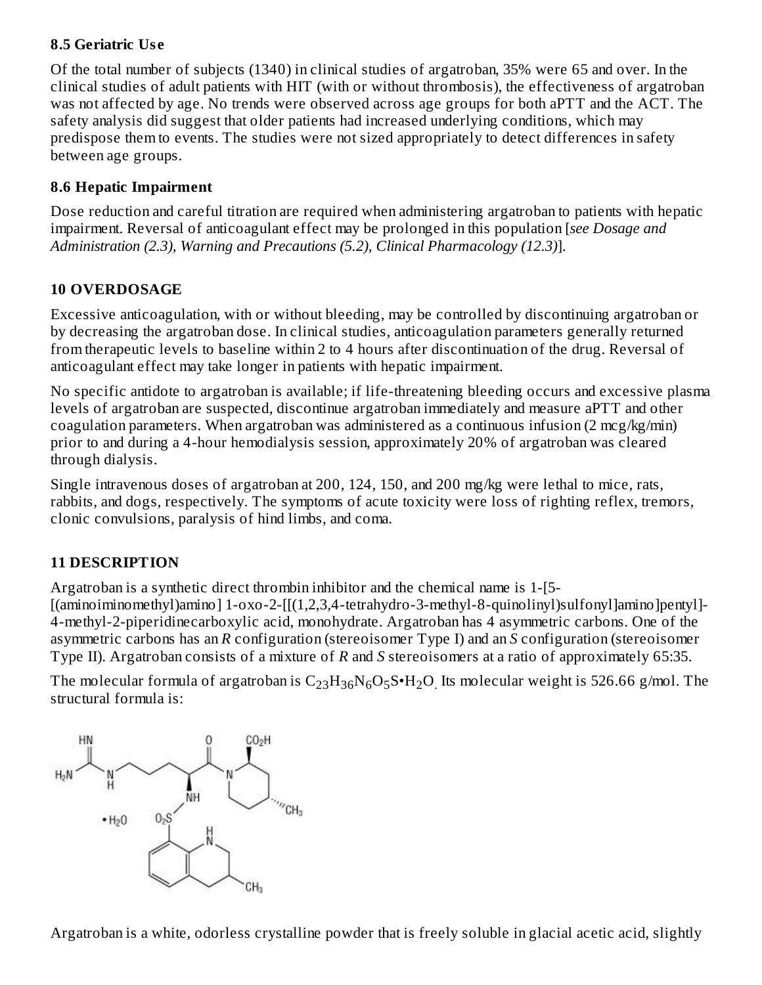### **8.5 Geriatric Us e**

Of the total number of subjects (1340) in clinical studies of argatroban, 35% were 65 and over. In the clinical studies of adult patients with HIT (with or without thrombosis), the effectiveness of argatroban was not affected by age. No trends were observed across age groups for both aPTT and the ACT. The safety analysis did suggest that older patients had increased underlying conditions, which may predispose them to events. The studies were not sized appropriately to detect differences in safety between age groups.

### **8.6 Hepatic Impairment**

Dose reduction and careful titration are required when administering argatroban to patients with hepatic impairment. Reversal of anticoagulant effect may be prolonged in this population [*see Dosage and Administration (2.3), Warning and Precautions (5.2), Clinical Pharmacology (12.3)*].

### **10 OVERDOSAGE**

Excessive anticoagulation, with or without bleeding, may be controlled by discontinuing argatroban or by decreasing the argatroban dose. In clinical studies, anticoagulation parameters generally returned from therapeutic levels to baseline within 2 to 4 hours after discontinuation of the drug. Reversal of anticoagulant effect may take longer in patients with hepatic impairment.

No specific antidote to argatroban is available; if life-threatening bleeding occurs and excessive plasma levels of argatroban are suspected, discontinue argatroban immediately and measure aPTT and other coagulation parameters. When argatroban was administered as a continuous infusion  $(2 \text{ mcg/kg/min})$ prior to and during a 4-hour hemodialysis session, approximately 20% of argatroban was cleared through dialysis.

Single intravenous doses of argatroban at 200, 124, 150, and 200 mg/kg were lethal to mice, rats, rabbits, and dogs, respectively. The symptoms of acute toxicity were loss of righting reflex, tremors, clonic convulsions, paralysis of hind limbs, and coma.

# **11 DESCRIPTION**

Argatroban is a synthetic direct thrombin inhibitor and the chemical name is 1-[5- [(aminoiminomethyl)amino] 1-oxo-2-[[(1,2,3,4-tetrahydro-3-methyl-8-quinolinyl)sulfonyl]amino]pentyl]- 4-methyl-2-piperidinecarboxylic acid, monohydrate. Argatroban has 4 asymmetric carbons. One of the asymmetric carbons has an *R* configuration (stereoisomer Type I) and an *S* configuration (stereoisomer Type II). Argatroban consists of a mixture of *R* and *S* stereoisomers at a ratio of approximately 65:35.

The molecular formula of argatroban is  $\rm{C_{23}H_{36}N_6O_5S\cdot H_2O}$  Its molecular weight is 526.66 g/mol. The structural formula is:



Argatroban is a white, odorless crystalline powder that is freely soluble in glacial acetic acid, slightly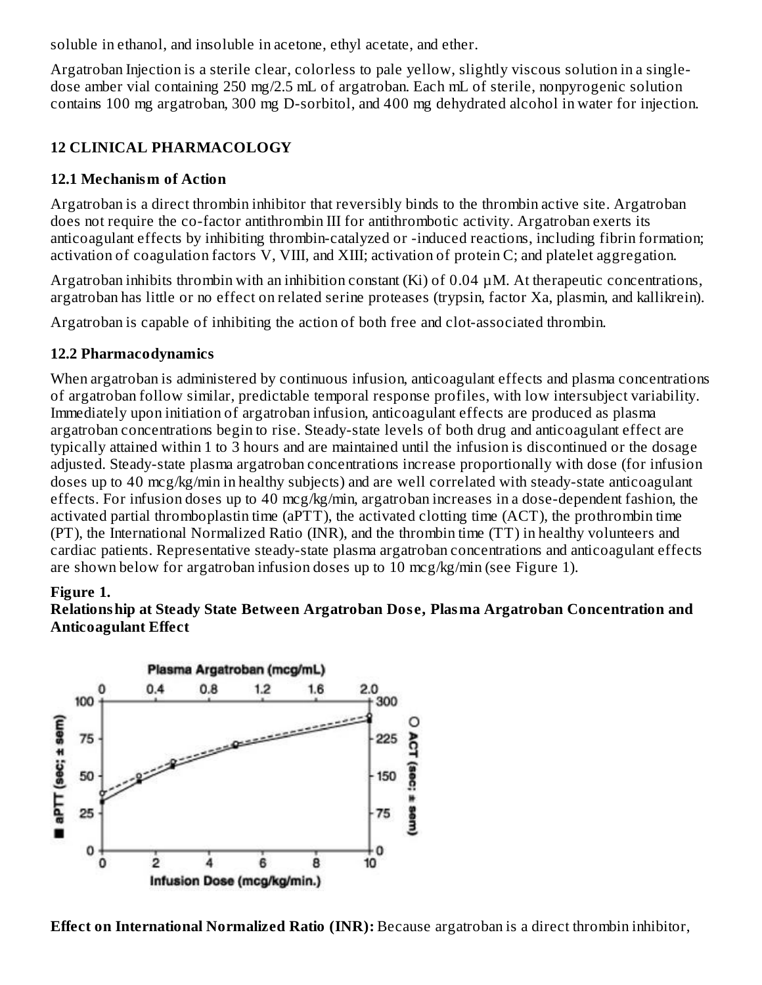soluble in ethanol, and insoluble in acetone, ethyl acetate, and ether.

Argatroban Injection is a sterile clear, colorless to pale yellow, slightly viscous solution in a singledose amber vial containing 250 mg/2.5 mL of argatroban. Each mL of sterile, nonpyrogenic solution contains 100 mg argatroban, 300 mg D-sorbitol, and 400 mg dehydrated alcohol in water for injection.

### **12 CLINICAL PHARMACOLOGY**

### **12.1 Mechanism of Action**

Argatroban is a direct thrombin inhibitor that reversibly binds to the thrombin active site. Argatroban does not require the co-factor antithrombin III for antithrombotic activity. Argatroban exerts its anticoagulant effects by inhibiting thrombin-catalyzed or -induced reactions, including fibrin formation; activation of coagulation factors V, VIII, and XIII; activation of protein C; and platelet aggregation.

Argatroban inhibits thrombin with an inhibition constant (Ki) of 0.04 µM. At therapeutic concentrations, argatroban has little or no effect on related serine proteases (trypsin, factor Xa, plasmin, and kallikrein).

Argatroban is capable of inhibiting the action of both free and clot-associated thrombin.

### **12.2 Pharmacodynamics**

When argatroban is administered by continuous infusion, anticoagulant effects and plasma concentrations of argatroban follow similar, predictable temporal response profiles, with low intersubject variability. Immediately upon initiation of argatroban infusion, anticoagulant effects are produced as plasma argatroban concentrations begin to rise. Steady-state levels of both drug and anticoagulant effect are typically attained within 1 to 3 hours and are maintained until the infusion is discontinued or the dosage adjusted. Steady-state plasma argatroban concentrations increase proportionally with dose (for infusion doses up to 40 mcg/kg/min in healthy subjects) and are well correlated with steady-state anticoagulant effects. For infusion doses up to 40 mcg/kg/min, argatroban increases in a dose-dependent fashion, the activated partial thromboplastin time (aPTT), the activated clotting time (ACT), the prothrombin time (PT), the International Normalized Ratio (INR), and the thrombin time (TT) in healthy volunteers and cardiac patients. Representative steady-state plasma argatroban concentrations and anticoagulant effects are shown below for argatroban infusion doses up to 10 mcg/kg/min (see Figure 1).

### **Figure 1.**

### **Relationship at Steady State Between Argatroban Dos e, Plasma Argatroban Concentration and Anticoagulant Effect**



**Effect on International Normalized Ratio (INR):** Because argatroban is a direct thrombin inhibitor,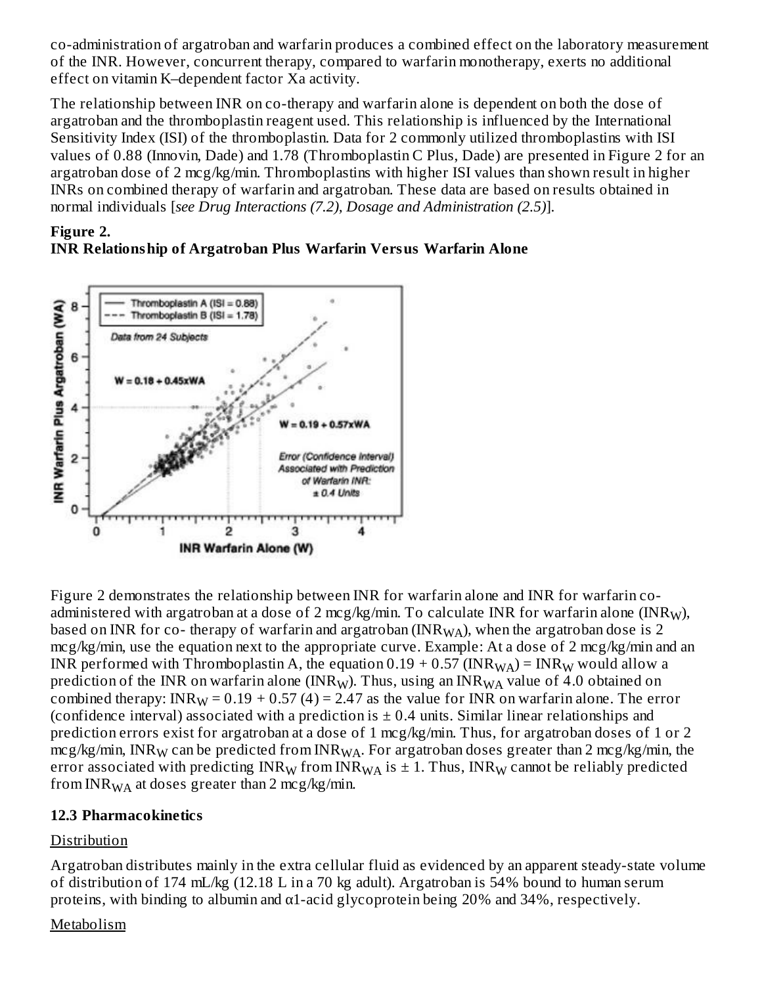co-administration of argatroban and warfarin produces a combined effect on the laboratory measurement of the INR. However, concurrent therapy, compared to warfarin monotherapy, exerts no additional effect on vitamin K–dependent factor Xa activity.

The relationship between INR on co-therapy and warfarin alone is dependent on both the dose of argatroban and the thromboplastin reagent used. This relationship is influenced by the International Sensitivity Index (ISI) of the thromboplastin. Data for 2 commonly utilized thromboplastins with ISI values of 0.88 (Innovin, Dade) and 1.78 (Thromboplastin C Plus, Dade) are presented in Figure 2 for an argatroban dose of 2 mcg/kg/min. Thromboplastins with higher ISI values than shown result in higher INRs on combined therapy of warfarin and argatroban. These data are based on results obtained in normal individuals [*see Drug Interactions (7.2), Dosage and Administration (2.5)*].

#### **Figure 2. INR Relationship of Argatroban Plus Warfarin Versus Warfarin Alone**



Figure 2 demonstrates the relationship between INR for warfarin alone and INR for warfarin coadministered with argatroban at a dose of 2 mcg/kg/min. To calculate INR for warfarin alone (INR $_{\rm W}$ ), based on INR for co- therapy of warfarin and argatroban (INR $_{\rm WA}$ ), when the argatroban dose is 2 mcg/kg/min, use the equation next to the appropriate curve. Example: At a dose of 2 mcg/kg/min and an INR performed with Thromboplastin A, the equation 0.19 + 0.57 (INR $_{\rm WA}$ ) = INR $_{\rm W}$  would allow a prediction of the INR on warfarin alone (INR<sub>W</sub>). Thus, using an INR<sub>WA</sub> value of 4.0 obtained on combined therapy: INR $_{\rm W}$  = 0.19 + 0.57 (4) = 2.47 as the value for INR on warfarin alone. The error (confidence interval) associated with a prediction is  $\pm$  0.4 units. Similar linear relationships and prediction errors exist for argatroban at a dose of 1 mcg/kg/min. Thus, for argatroban doses of 1 or 2 mcg/kg/min, INR $_{\rm W}$  can be predicted from INR $_{\rm WA}$ . For argatroban doses greater than 2 mcg/kg/min, the error associated with predicting  $\mathtt{INR}_\mathsf{W}$  from IN $\mathtt{R}_{\mathsf{WA}}$  is  $\pm$  1. Thus,  $\mathtt{INR}_\mathsf{W}$  cannot be reliably predicted from INR $_{\rm WA}$  at doses greater than 2 mcg/kg/min.

### **12.3 Pharmacokinetics**

### **Distribution**

Argatroban distributes mainly in the extra cellular fluid as evidenced by an apparent steady-state volume of distribution of 174 mL/kg (12.18 L in a 70 kg adult). Argatroban is 54% bound to human serum proteins, with binding to albumin and  $\alpha$ 1-acid glycoprotein being 20% and 34%, respectively.

### Metabolism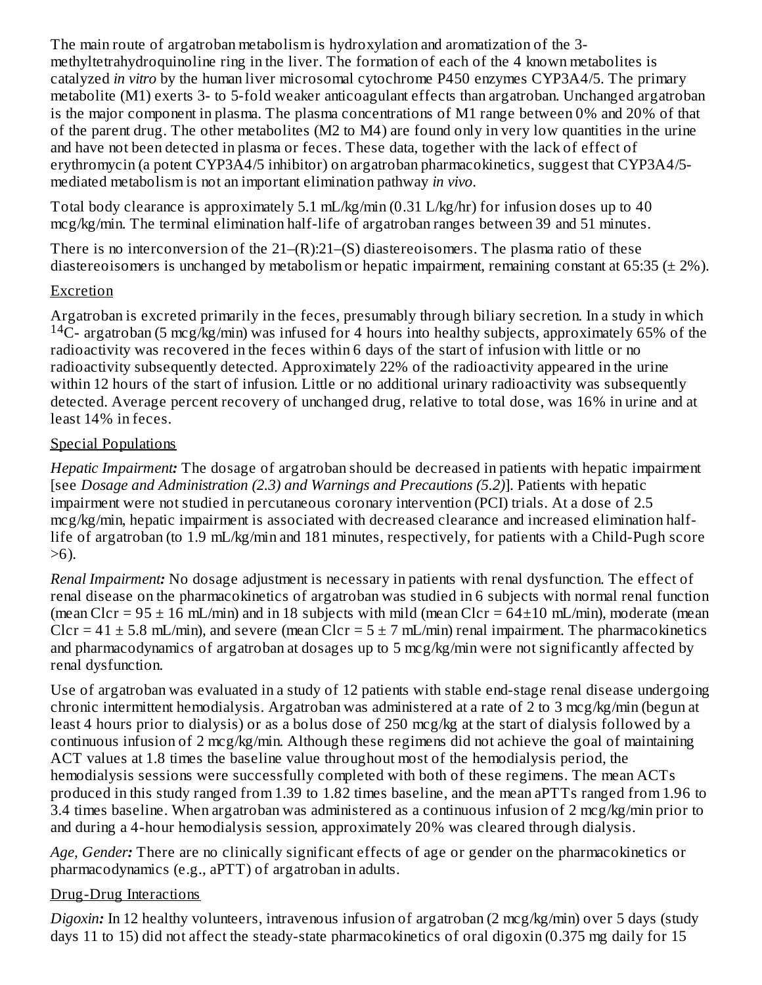The main route of argatroban metabolism is hydroxylation and aromatization of the 3 methyltetrahydroquinoline ring in the liver. The formation of each of the 4 known metabolites is catalyzed *in vitro* by the human liver microsomal cytochrome P450 enzymes CYP3A4/5. The primary metabolite (M1) exerts 3- to 5-fold weaker anticoagulant effects than argatroban. Unchanged argatroban is the major component in plasma. The plasma concentrations of M1 range between 0% and 20% of that of the parent drug. The other metabolites (M2 to M4) are found only in very low quantities in the urine and have not been detected in plasma or feces. These data, together with the lack of effect of erythromycin (a potent CYP3A4/5 inhibitor) on argatroban pharmacokinetics, suggest that CYP3A4/5 mediated metabolism is not an important elimination pathway *in vivo*.

Total body clearance is approximately 5.1 mL/kg/min (0.31 L/kg/hr) for infusion doses up to 40 mcg/kg/min. The terminal elimination half-life of argatroban ranges between 39 and 51 minutes.

There is no interconversion of the 21–(R):21–(S) diastereoisomers. The plasma ratio of these diastereoisomers is unchanged by metabolism or hepatic impairment, remaining constant at 65:35 ( $\pm$  2%).

### Excretion

Argatroban is excreted primarily in the feces, presumably through biliary secretion. In a study in which  $14C$ - argatroban (5 mcg/kg/min) was infused for 4 hours into healthy subjects, approximately 65% of the radioactivity was recovered in the feces within 6 days of the start of infusion with little or no radioactivity subsequently detected. Approximately 22% of the radioactivity appeared in the urine within 12 hours of the start of infusion. Little or no additional urinary radioactivity was subsequently detected. Average percent recovery of unchanged drug, relative to total dose, was 16% in urine and at least 14% in feces.

#### Special Populations

*Hepatic Impairment:* The dosage of argatroban should be decreased in patients with hepatic impairment [see *Dosage and Administration (2.3) and Warnings and Precautions (5.2)*]. Patients with hepatic impairment were not studied in percutaneous coronary intervention (PCI) trials. At a dose of 2.5 mcg/kg/min, hepatic impairment is associated with decreased clearance and increased elimination halflife of argatroban (to 1.9 mL/kg/min and 181 minutes, respectively, for patients with a Child-Pugh score >6).

*Renal Impairment:* No dosage adjustment is necessary in patients with renal dysfunction. The effect of renal disease on the pharmacokinetics of argatroban was studied in 6 subjects with normal renal function (mean Clcr =  $95 \pm 16$  mL/min) and in 18 subjects with mild (mean Clcr =  $64\pm 10$  mL/min), moderate (mean Clcr =  $41 \pm 5.8$  mL/min), and severe (mean Clcr =  $5 \pm 7$  mL/min) renal impairment. The pharmacokinetics and pharmacodynamics of argatroban at dosages up to 5 mcg/kg/min were not significantly affected by renal dysfunction.

Use of argatroban was evaluated in a study of 12 patients with stable end-stage renal disease undergoing chronic intermittent hemodialysis. Argatroban was administered at a rate of 2 to 3 mcg/kg/min (begun at least 4 hours prior to dialysis) or as a bolus dose of 250 mcg/kg at the start of dialysis followed by a continuous infusion of 2 mcg/kg/min. Although these regimens did not achieve the goal of maintaining ACT values at 1.8 times the baseline value throughout most of the hemodialysis period, the hemodialysis sessions were successfully completed with both of these regimens. The mean ACTs produced in this study ranged from 1.39 to 1.82 times baseline, and the mean aPTTs ranged from 1.96 to 3.4 times baseline. When argatroban was administered as a continuous infusion of 2 mcg/kg/min prior to and during a 4-hour hemodialysis session, approximately 20% was cleared through dialysis.

*Age, Gender:* There are no clinically significant effects of age or gender on the pharmacokinetics or pharmacodynamics (e.g., aPTT) of argatroban in adults.

### Drug-Drug Interactions

*Digoxin:* In 12 healthy volunteers, intravenous infusion of argatroban (2 mcg/kg/min) over 5 days (study days 11 to 15) did not affect the steady-state pharmacokinetics of oral digoxin (0.375 mg daily for 15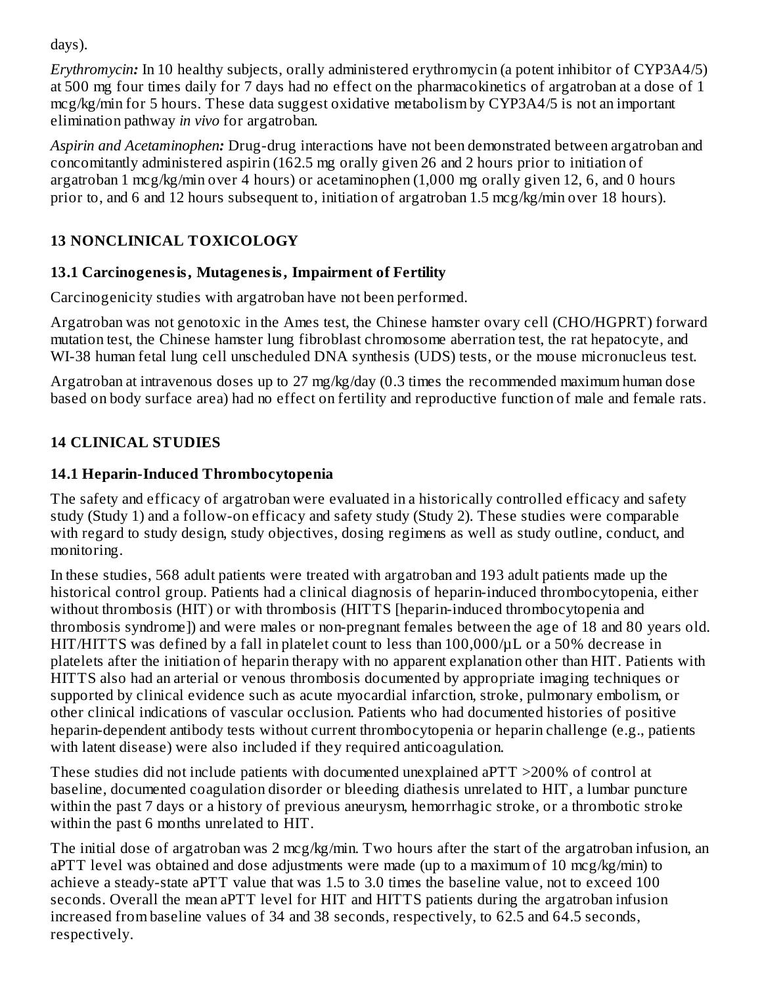days).

*Erythromycin:* In 10 healthy subjects, orally administered erythromycin (a potent inhibitor of CYP3A4/5) at 500 mg four times daily for 7 days had no effect on the pharmacokinetics of argatroban at a dose of 1 mcg/kg/min for 5 hours. These data suggest oxidative metabolism by CYP3A4/5 is not an important elimination pathway *in vivo* for argatroban.

*Aspirin and Acetaminophen:* Drug-drug interactions have not been demonstrated between argatroban and concomitantly administered aspirin (162.5 mg orally given 26 and 2 hours prior to initiation of argatroban 1 mcg/kg/min over 4 hours) or acetaminophen (1,000 mg orally given 12, 6, and 0 hours prior to, and 6 and 12 hours subsequent to, initiation of argatroban 1.5 mcg/kg/min over 18 hours).

# **13 NONCLINICAL TOXICOLOGY**

# **13.1 Carcinogenesis, Mutagenesis, Impairment of Fertility**

Carcinogenicity studies with argatroban have not been performed.

Argatroban was not genotoxic in the Ames test, the Chinese hamster ovary cell (CHO/HGPRT) forward mutation test, the Chinese hamster lung fibroblast chromosome aberration test, the rat hepatocyte, and WI-38 human fetal lung cell unscheduled DNA synthesis (UDS) tests, or the mouse micronucleus test.

Argatroban at intravenous doses up to 27 mg/kg/day (0.3 times the recommended maximum human dose based on body surface area) had no effect on fertility and reproductive function of male and female rats.

# **14 CLINICAL STUDIES**

# **14.1 Heparin-Induced Thrombocytopenia**

The safety and efficacy of argatroban were evaluated in a historically controlled efficacy and safety study (Study 1) and a follow-on efficacy and safety study (Study 2). These studies were comparable with regard to study design, study objectives, dosing regimens as well as study outline, conduct, and monitoring.

In these studies, 568 adult patients were treated with argatroban and 193 adult patients made up the historical control group. Patients had a clinical diagnosis of heparin-induced thrombocytopenia, either without thrombosis (HIT) or with thrombosis (HITTS [heparin-induced thrombocytopenia and thrombosis syndrome]) and were males or non-pregnant females between the age of 18 and 80 years old. HIT/HITTS was defined by a fall in platelet count to less than 100,000/µL or a 50% decrease in platelets after the initiation of heparin therapy with no apparent explanation other than HIT. Patients with HITTS also had an arterial or venous thrombosis documented by appropriate imaging techniques or supported by clinical evidence such as acute myocardial infarction, stroke, pulmonary embolism, or other clinical indications of vascular occlusion. Patients who had documented histories of positive heparin-dependent antibody tests without current thrombocytopenia or heparin challenge (e.g., patients with latent disease) were also included if they required anticoagulation.

These studies did not include patients with documented unexplained aPTT >200% of control at baseline, documented coagulation disorder or bleeding diathesis unrelated to HIT, a lumbar puncture within the past 7 days or a history of previous aneurysm, hemorrhagic stroke, or a thrombotic stroke within the past 6 months unrelated to HIT.

The initial dose of argatroban was 2 mcg/kg/min. Two hours after the start of the argatroban infusion, an aPTT level was obtained and dose adjustments were made (up to a maximum of 10 mcg/kg/min) to achieve a steady-state aPTT value that was 1.5 to 3.0 times the baseline value, not to exceed 100 seconds. Overall the mean aPTT level for HIT and HITTS patients during the argatroban infusion increased from baseline values of 34 and 38 seconds, respectively, to 62.5 and 64.5 seconds, respectively.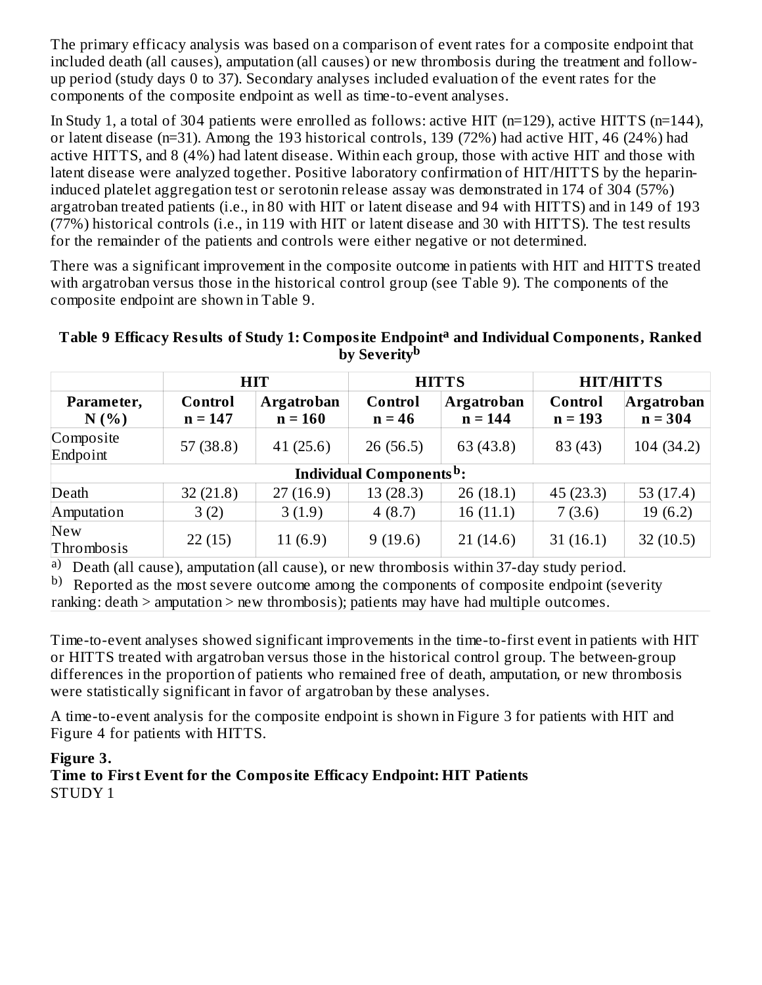The primary efficacy analysis was based on a comparison of event rates for a composite endpoint that included death (all causes), amputation (all causes) or new thrombosis during the treatment and followup period (study days 0 to 37). Secondary analyses included evaluation of the event rates for the components of the composite endpoint as well as time-to-event analyses.

In Study 1, a total of 304 patients were enrolled as follows: active HIT (n=129), active HITTS (n=144), or latent disease (n=31). Among the 193 historical controls, 139 (72%) had active HIT, 46 (24%) had active HITTS, and 8 (4%) had latent disease. Within each group, those with active HIT and those with latent disease were analyzed together. Positive laboratory confirmation of HIT/HITTS by the heparininduced platelet aggregation test or serotonin release assay was demonstrated in 174 of 304 (57%) argatroban treated patients (i.e., in 80 with HIT or latent disease and 94 with HITTS) and in 149 of 193 (77%) historical controls (i.e., in 119 with HIT or latent disease and 30 with HITTS). The test results for the remainder of the patients and controls were either negative or not determined.

There was a significant improvement in the composite outcome in patients with HIT and HITTS treated with argatroban versus those in the historical control group (see Table 9). The components of the composite endpoint are shown in Table 9.

### **Table 9 Efficacy Results of Study 1: Composite Endpoint and Individual Components, Ranked a by Severity b**

|                          |                                                        | <b>HIT</b> | <b>HITTS</b>        |                                |                      | <b>HIT/HITTS</b>        |  |  |
|--------------------------|--------------------------------------------------------|------------|---------------------|--------------------------------|----------------------|-------------------------|--|--|
| Parameter,<br>N(% )      | <b>Argatroban</b><br>Control<br>$n = 160$<br>$n = 147$ |            | Control<br>$n = 46$ | <b>Argatroban</b><br>$n = 144$ | Control<br>$n = 193$ | Argatroban<br>$n = 304$ |  |  |
| Composite<br>Endpoint    | 57(38.8)                                               | 41(25.6)   | 26(56.5)            | 63 (43.8)                      | 83 (43)              | 104(34.2)               |  |  |
|                          | <b>Individual Components<sup>b</sup>:</b>              |            |                     |                                |                      |                         |  |  |
| Death                    | 32(21.8)                                               | 27(16.9)   | 13(28.3)            | 26(18.1)                       | 45(23.3)             | 53 $(17.4)$             |  |  |
| Amputation               | 3(2)                                                   | 3(1.9)     | 4(8.7)              | 16(11.1)                       | 7(3.6)               | 19(6.2)                 |  |  |
| <b>New</b><br>Thrombosis | 22(15)                                                 | 11(6.9)    | 9(19.6)             | 21(14.6)                       | 31(16.1)             | 32(10.5)                |  |  |

a) Death (all cause), amputation (all cause), or new thrombosis within 37-day study period.

b) Reported as the most severe outcome among the components of composite endpoint (severity ranking: death > amputation > new thrombosis); patients may have had multiple outcomes.

Time-to-event analyses showed significant improvements in the time-to-first event in patients with HIT or HITTS treated with argatroban versus those in the historical control group. The between-group differences in the proportion of patients who remained free of death, amputation, or new thrombosis were statistically significant in favor of argatroban by these analyses.

A time-to-event analysis for the composite endpoint is shown in Figure 3 for patients with HIT and Figure 4 for patients with HITTS.

### **Figure 3.**

**Time to First Event for the Composite Efficacy Endpoint: HIT Patients** STUDY 1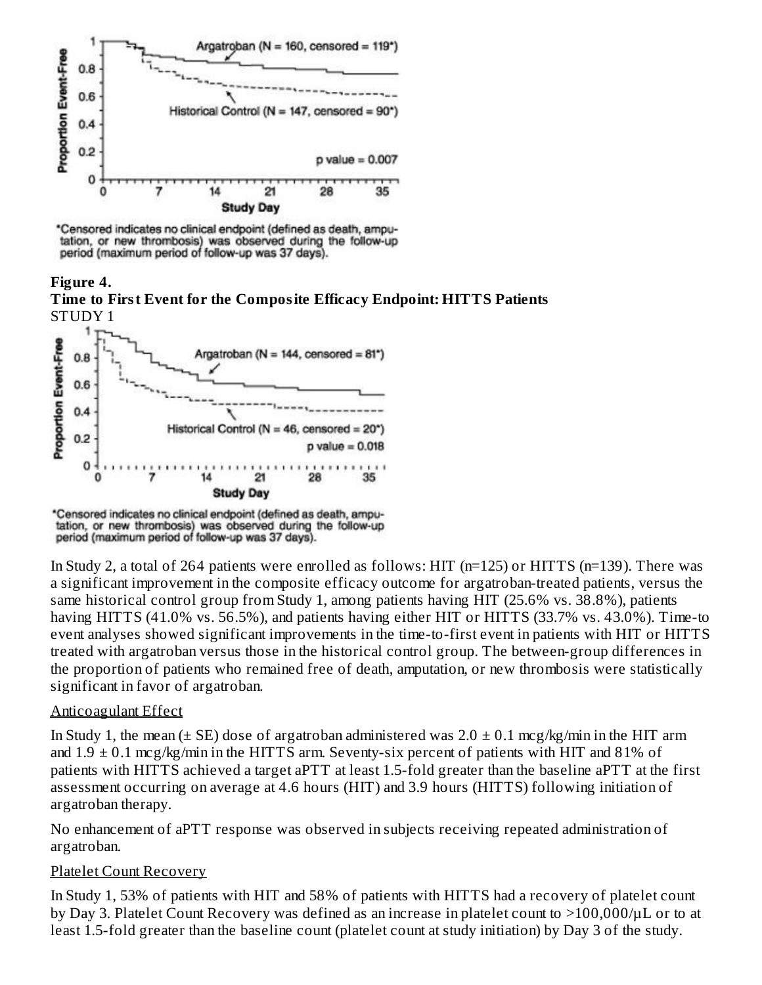

\*Censored indicates no clinical endpoint (defined as death, amputation, or new thrombosis) was observed during the follow-up period (maximum period of follow-up was 37 days).

**Figure 4. Time to First Event for the Composite Efficacy Endpoint: HITTS Patients** STUDY 1



\*Censored indicates no clinical endpoint (defined as death, amputation, or new thrombosis) was observed during the follow-up period (maximum period of follow-up was 37 days).

In Study 2, a total of 264 patients were enrolled as follows: HIT (n=125) or HITTS (n=139). There was a significant improvement in the composite efficacy outcome for argatroban-treated patients, versus the same historical control group from Study 1, among patients having HIT (25.6% vs. 38.8%), patients having HITTS (41.0% vs. 56.5%), and patients having either HIT or HITTS (33.7% vs. 43.0%). Time-to event analyses showed significant improvements in the time-to-first event in patients with HIT or HITTS treated with argatroban versus those in the historical control group. The between-group differences in the proportion of patients who remained free of death, amputation, or new thrombosis were statistically significant in favor of argatroban.

### Anticoagulant Effect

In Study 1, the mean ( $\pm$  SE) dose of argatroban administered was  $2.0 \pm 0.1$  mcg/kg/min in the HIT arm and  $1.9 \pm 0.1$  mcg/kg/min in the HITTS arm. Seventy-six percent of patients with HIT and 81% of patients with HITTS achieved a target aPTT at least 1.5-fold greater than the baseline aPTT at the first assessment occurring on average at 4.6 hours (HIT) and 3.9 hours (HITTS) following initiation of argatroban therapy.

No enhancement of aPTT response was observed in subjects receiving repeated administration of argatroban.

#### Platelet Count Recovery

In Study 1, 53% of patients with HIT and 58% of patients with HITTS had a recovery of platelet count by Day 3. Platelet Count Recovery was defined as an increase in platelet count to >100,000/µL or to at least 1.5-fold greater than the baseline count (platelet count at study initiation) by Day 3 of the study.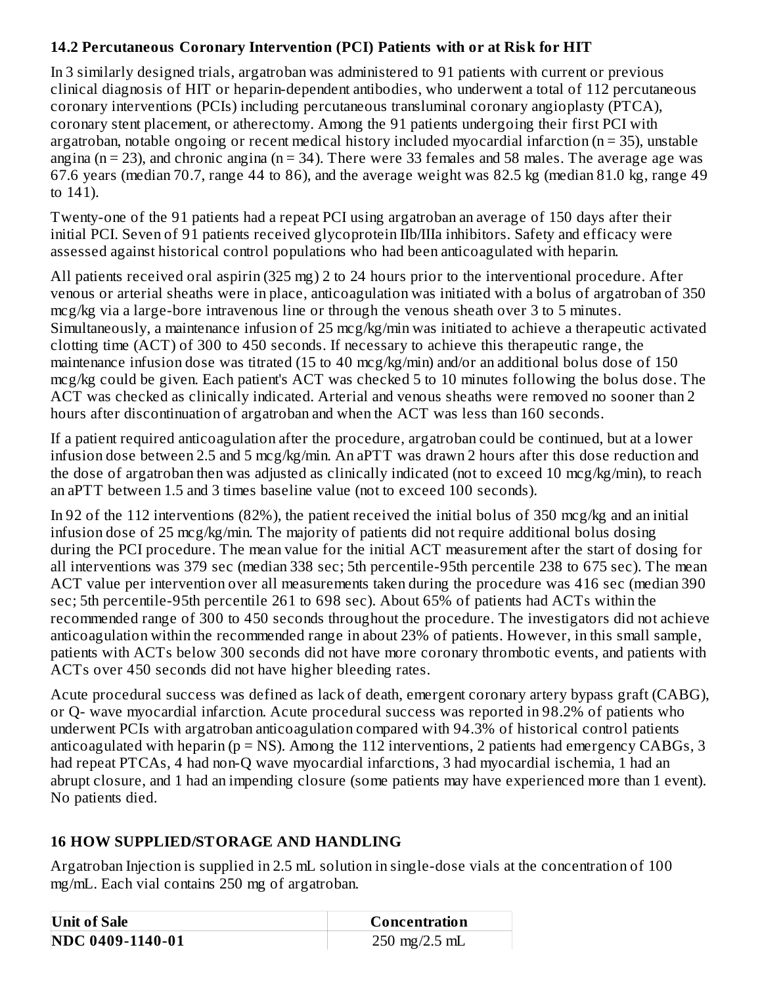### **14.2 Percutaneous Coronary Intervention (PCI) Patients with or at Risk for HIT**

In 3 similarly designed trials, argatroban was administered to 91 patients with current or previous clinical diagnosis of HIT or heparin-dependent antibodies, who underwent a total of 112 percutaneous coronary interventions (PCIs) including percutaneous transluminal coronary angioplasty (PTCA), coronary stent placement, or atherectomy. Among the 91 patients undergoing their first PCI with argatroban, notable ongoing or recent medical history included myocardial infarction (n = 35), unstable angina ( $n = 23$ ), and chronic angina ( $n = 34$ ). There were 33 females and 58 males. The average age was 67.6 years (median 70.7, range 44 to 86), and the average weight was 82.5 kg (median 81.0 kg, range 49 to 141).

Twenty-one of the 91 patients had a repeat PCI using argatroban an average of 150 days after their initial PCI. Seven of 91 patients received glycoprotein IIb/IIIa inhibitors. Safety and efficacy were assessed against historical control populations who had been anticoagulated with heparin.

All patients received oral aspirin (325 mg) 2 to 24 hours prior to the interventional procedure. After venous or arterial sheaths were in place, anticoagulation was initiated with a bolus of argatroban of 350 mcg/kg via a large-bore intravenous line or through the venous sheath over 3 to 5 minutes. Simultaneously, a maintenance infusion of 25 mcg/kg/min was initiated to achieve a therapeutic activated clotting time (ACT) of 300 to 450 seconds. If necessary to achieve this therapeutic range, the maintenance infusion dose was titrated (15 to 40 mcg/kg/min) and/or an additional bolus dose of 150 mcg/kg could be given. Each patient's ACT was checked 5 to 10 minutes following the bolus dose. The ACT was checked as clinically indicated. Arterial and venous sheaths were removed no sooner than 2 hours after discontinuation of argatroban and when the ACT was less than 160 seconds.

If a patient required anticoagulation after the procedure, argatroban could be continued, but at a lower infusion dose between 2.5 and 5 mcg/kg/min. An aPTT was drawn 2 hours after this dose reduction and the dose of argatroban then was adjusted as clinically indicated (not to exceed 10 mcg/kg/min), to reach an aPTT between 1.5 and 3 times baseline value (not to exceed 100 seconds).

In 92 of the 112 interventions (82%), the patient received the initial bolus of 350 mcg/kg and an initial infusion dose of 25 mcg/kg/min. The majority of patients did not require additional bolus dosing during the PCI procedure. The mean value for the initial ACT measurement after the start of dosing for all interventions was 379 sec (median 338 sec; 5th percentile-95th percentile 238 to 675 sec). The mean ACT value per intervention over all measurements taken during the procedure was 416 sec (median 390 sec; 5th percentile-95th percentile 261 to 698 sec). About 65% of patients had ACTs within the recommended range of 300 to 450 seconds throughout the procedure. The investigators did not achieve anticoagulation within the recommended range in about 23% of patients. However, in this small sample, patients with ACTs below 300 seconds did not have more coronary thrombotic events, and patients with ACTs over 450 seconds did not have higher bleeding rates.

Acute procedural success was defined as lack of death, emergent coronary artery bypass graft (CABG), or Q- wave myocardial infarction. Acute procedural success was reported in 98.2% of patients who underwent PCIs with argatroban anticoagulation compared with 94.3% of historical control patients anticoagulated with heparin ( $p = NS$ ). Among the 112 interventions, 2 patients had emergency CABGs, 3 had repeat PTCAs, 4 had non-Q wave myocardial infarctions, 3 had myocardial ischemia, 1 had an abrupt closure, and 1 had an impending closure (some patients may have experienced more than 1 event). No patients died.

# **16 HOW SUPPLIED/STORAGE AND HANDLING**

Argatroban Injection is supplied in 2.5 mL solution in single-dose vials at the concentration of 100 mg/mL. Each vial contains 250 mg of argatroban.

| Unit of Sale     | Concentration                   |  |  |  |
|------------------|---------------------------------|--|--|--|
| NDC 0409-1140-01 | $250 \text{ mg}/2.5 \text{ mL}$ |  |  |  |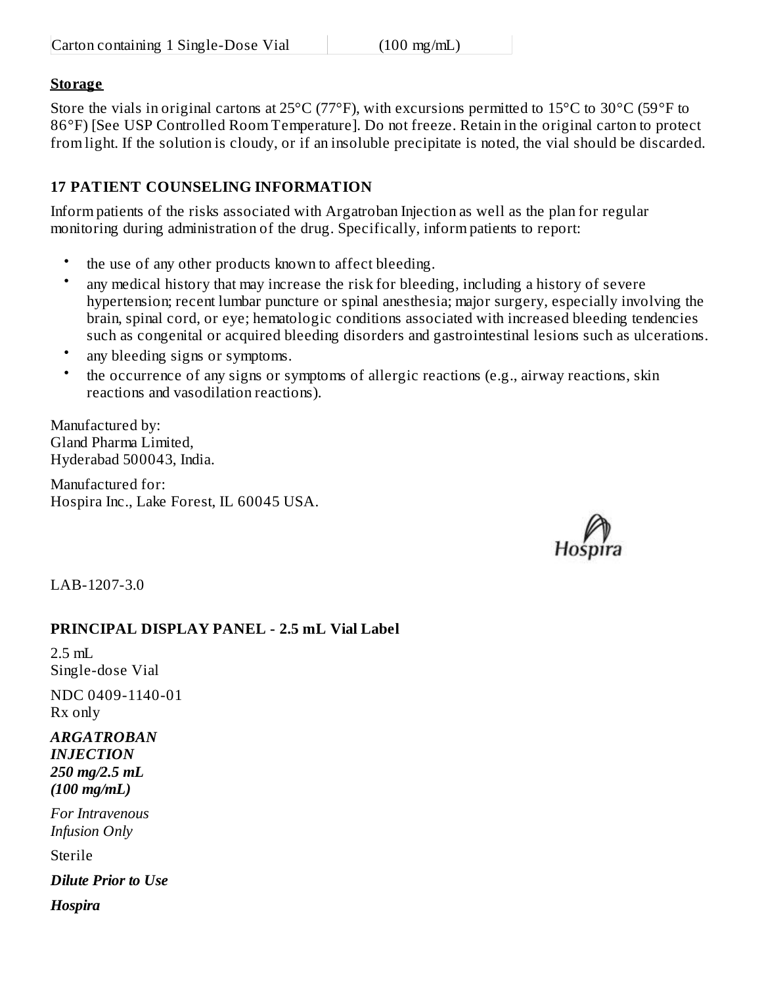### **Storage**

Store the vials in original cartons at 25°C (77°F), with excursions permitted to 15°C to 30°C (59°F to 86°F) [See USP Controlled Room Temperature]. Do not freeze. Retain in the original carton to protect from light. If the solution is cloudy, or if an insoluble precipitate is noted, the vial should be discarded.

### **17 PATIENT COUNSELING INFORMATION**

Inform patients of the risks associated with Argatroban Injection as well as the plan for regular monitoring during administration of the drug. Specifically, inform patients to report:

- the use of any other products known to affect bleeding.
- any medical history that may increase the risk for bleeding, including a history of severe hypertension; recent lumbar puncture or spinal anesthesia; major surgery, especially involving the brain, spinal cord, or eye; hematologic conditions associated with increased bleeding tendencies such as congenital or acquired bleeding disorders and gastrointestinal lesions such as ulcerations.
- any bleeding signs or symptoms.
- the occurrence of any signs or symptoms of allergic reactions (e.g., airway reactions, skin reactions and vasodilation reactions).

Manufactured by: Gland Pharma Limited, Hyderabad 500043, India.

Manufactured for: Hospira Inc., Lake Forest, IL 60045 USA.



LAB-1207-3.0

### **PRINCIPAL DISPLAY PANEL - 2.5 mL Vial Label**

 $2.5$  mL Single-dose Vial

NDC 0409-1140-01 Rx only

#### *ARGATROBAN INJECTION 250 mg/2.5 mL (100 mg/mL)*

*For Intravenous Infusion Only*

Sterile

*Dilute Prior to Use*

*Hospira*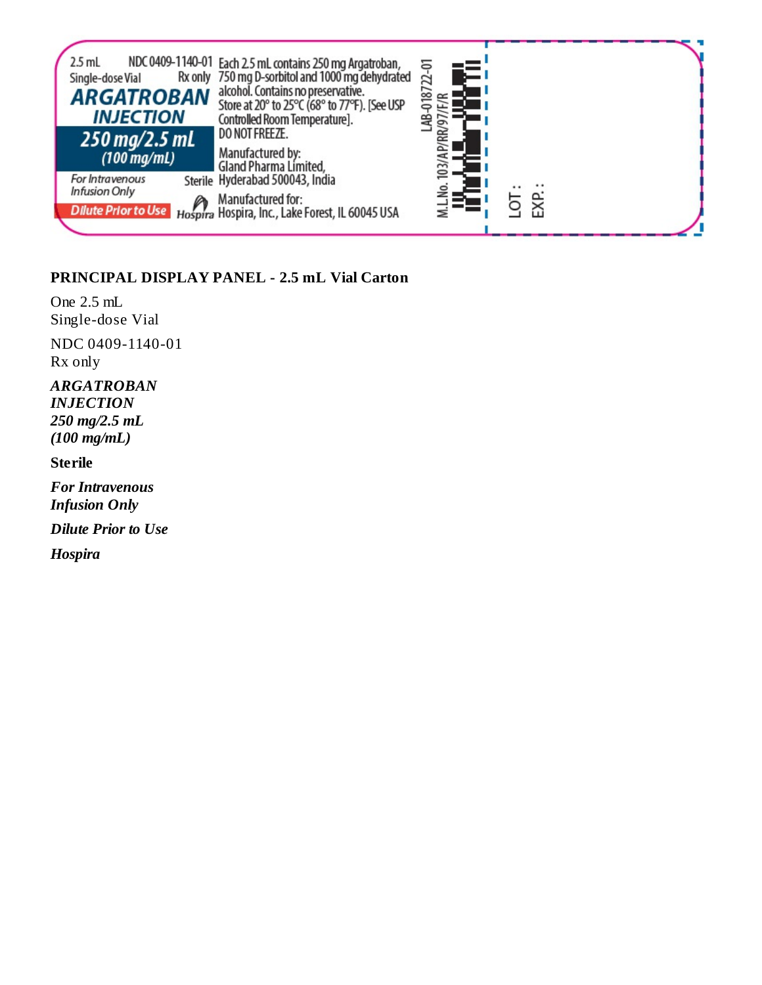

### **PRINCIPAL DISPLAY PANEL - 2.5 mL Vial Carton**

One 2.5 mL Single-dose Vial NDC 0409-1140-01 Rx only

### *ARGATROBAN INJECTION 250 mg/2.5 mL*

*(100 mg/mL)*

### **Sterile**

*For Intravenous Infusion Only*

*Dilute Prior to Use*

*Hospira*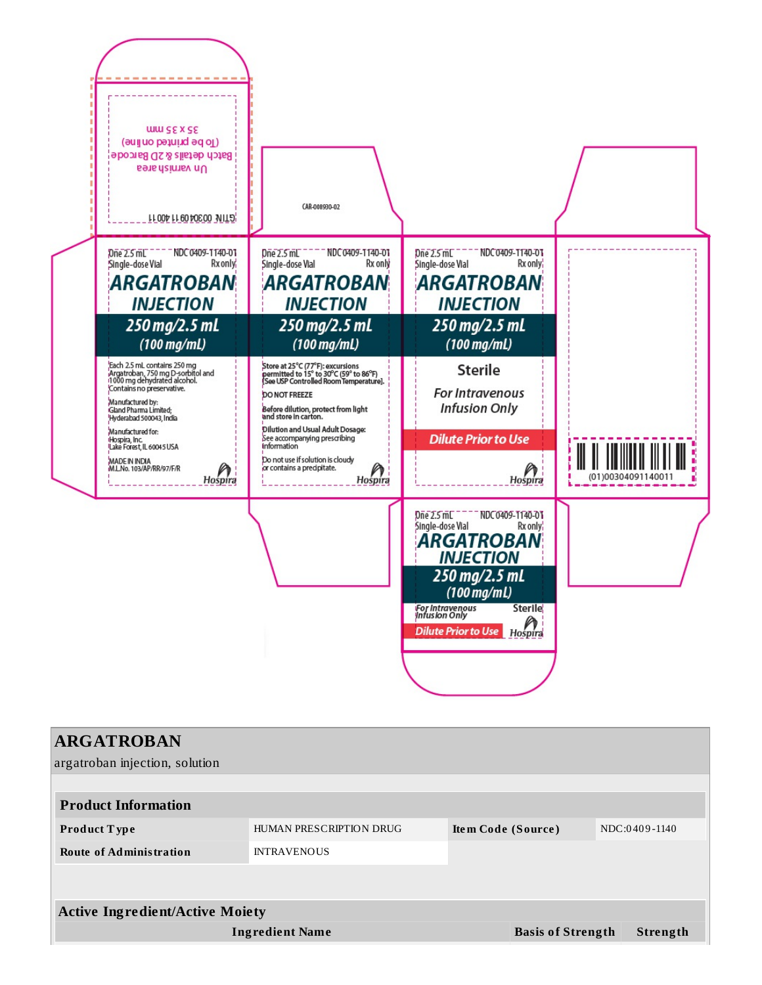

| <b>ARGATROBAN</b>                      |                         |                          |               |
|----------------------------------------|-------------------------|--------------------------|---------------|
| argatroban injection, solution         |                         |                          |               |
|                                        |                         |                          |               |
| <b>Product Information</b>             |                         |                          |               |
| <b>Product Type</b>                    | HUMAN PRESCRIPTION DRUG | Item Code (Source)       | NDC:0409-1140 |
| <b>Route of Administration</b>         | <b>INTRAVENOUS</b>      |                          |               |
|                                        |                         |                          |               |
|                                        |                         |                          |               |
| <b>Active Ingredient/Active Moiety</b> |                         |                          |               |
|                                        | <b>Ingredient Name</b>  | <b>Basis of Strength</b> | Strength      |